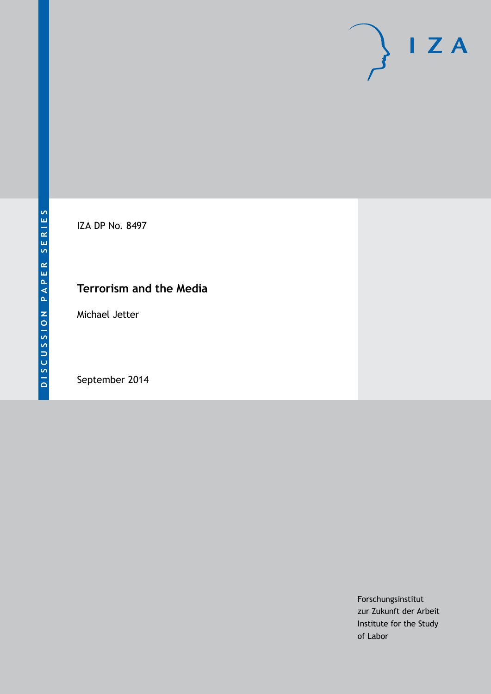

IZA DP No. 8497

# **Terrorism and the Media**

Michael Jetter

September 2014

Forschungsinstitut zur Zukunft der Arbeit Institute for the Study of Labor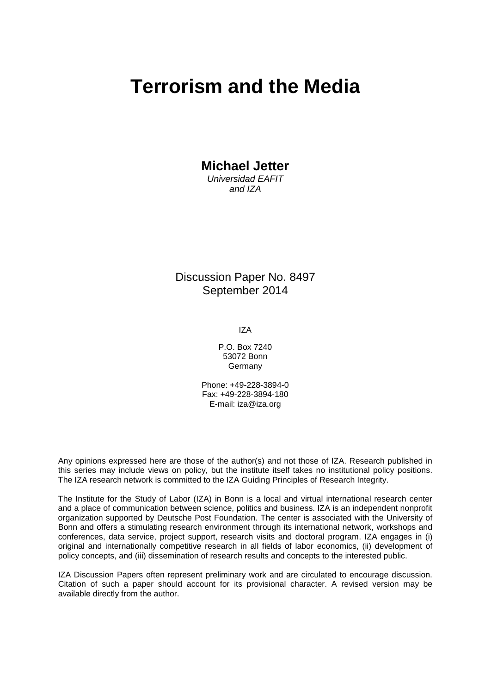# **Terrorism and the Media**

**Michael Jetter**

*Universidad EAFIT and IZA*

Discussion Paper No. 8497 September 2014

IZA

P.O. Box 7240 53072 Bonn Germany

Phone: +49-228-3894-0 Fax: +49-228-3894-180 E-mail: [iza@iza.org](mailto:iza@iza.org)

Any opinions expressed here are those of the author(s) and not those of IZA. Research published in this series may include views on policy, but the institute itself takes no institutional policy positions. The IZA research network is committed to the IZA Guiding Principles of Research Integrity.

The Institute for the Study of Labor (IZA) in Bonn is a local and virtual international research center and a place of communication between science, politics and business. IZA is an independent nonprofit organization supported by Deutsche Post Foundation. The center is associated with the University of Bonn and offers a stimulating research environment through its international network, workshops and conferences, data service, project support, research visits and doctoral program. IZA engages in (i) original and internationally competitive research in all fields of labor economics, (ii) development of policy concepts, and (iii) dissemination of research results and concepts to the interested public.

IZA Discussion Papers often represent preliminary work and are circulated to encourage discussion. Citation of such a paper should account for its provisional character. A revised version may be available directly from the author.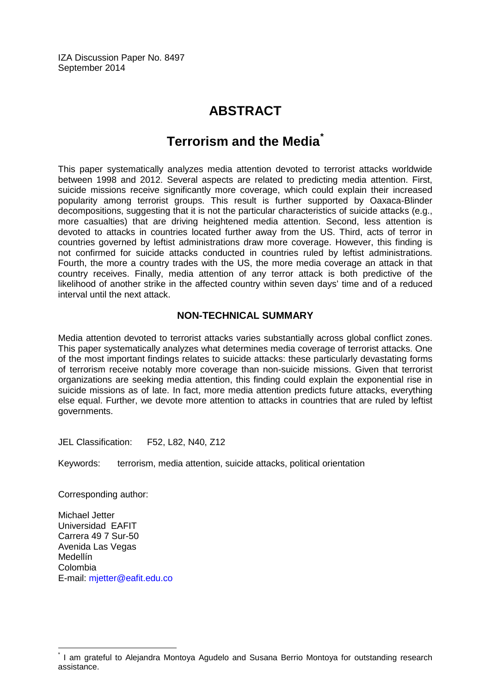IZA Discussion Paper No. 8497 September 2014

# **ABSTRACT**

# **Terrorism and the Media[\\*](#page-2-0)**

This paper systematically analyzes media attention devoted to terrorist attacks worldwide between 1998 and 2012. Several aspects are related to predicting media attention. First, suicide missions receive significantly more coverage, which could explain their increased popularity among terrorist groups. This result is further supported by Oaxaca-Blinder decompositions, suggesting that it is not the particular characteristics of suicide attacks (e.g., more casualties) that are driving heightened media attention. Second, less attention is devoted to attacks in countries located further away from the US. Third, acts of terror in countries governed by leftist administrations draw more coverage. However, this finding is not confirmed for suicide attacks conducted in countries ruled by leftist administrations. Fourth, the more a country trades with the US, the more media coverage an attack in that country receives. Finally, media attention of any terror attack is both predictive of the likelihood of another strike in the affected country within seven days' time and of a reduced interval until the next attack.

# **NON-TECHNICAL SUMMARY**

Media attention devoted to terrorist attacks varies substantially across global conflict zones. This paper systematically analyzes what determines media coverage of terrorist attacks. One of the most important findings relates to suicide attacks: these particularly devastating forms of terrorism receive notably more coverage than non-suicide missions. Given that terrorist organizations are seeking media attention, this finding could explain the exponential rise in suicide missions as of late. In fact, more media attention predicts future attacks, everything else equal. Further, we devote more attention to attacks in countries that are ruled by leftist governments.

JEL Classification: F52, L82, N40, Z12

Keywords: terrorism, media attention, suicide attacks, political orientation

Corresponding author:

Michael Jetter Universidad EAFIT Carrera 49 7 Sur-50 Avenida Las Vegas Medellín Colombia E-mail: [mjetter@eafit.edu.co](mailto:mjetter@eafit.edu.co)

<span id="page-2-0"></span>I am grateful to Alejandra Montoya Agudelo and Susana Berrio Montoya for outstanding research assistance.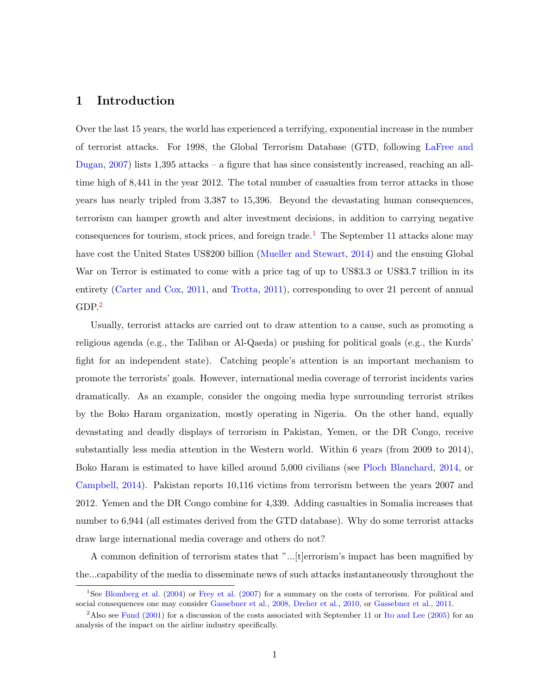# 1 Introduction

Over the last 15 years, the world has experienced a terrifying, exponential increase in the number of terrorist attacks. For 1998, the Global Terrorism Database (GTD, following [LaFree and](#page-49-0) [Dugan,](#page-49-0) [2007\)](#page-49-0) lists 1,395 attacks – a figure that has since consistently increased, reaching an alltime high of 8,441 in the year 2012. The total number of casualties from terror attacks in those years has nearly tripled from 3,387 to 15,396. Beyond the devastating human consequences, terrorism can hamper growth and alter investment decisions, in addition to carrying negative consequences for tourism, stock prices, and foreign trade.<sup>[1](#page-3-0)</sup> The September 11 attacks alone may have cost the United States US\$200 billion [\(Mueller and Stewart,](#page-49-1) [2014\)](#page-49-1) and the ensuing Global War on Terror is estimated to come with a price tag of up to US\$3.3 or US\$3.7 trillion in its entirety [\(Carter and Cox,](#page-47-0) [2011,](#page-47-0) and [Trotta,](#page-50-0) [2011\)](#page-50-0), corresponding to over 21 percent of annual  $GDP<sup>2</sup>$  $GDP<sup>2</sup>$  $GDP<sup>2</sup>$ 

Usually, terrorist attacks are carried out to draw attention to a cause, such as promoting a religious agenda (e.g., the Taliban or Al-Qaeda) or pushing for political goals (e.g., the Kurds' fight for an independent state). Catching people's attention is an important mechanism to promote the terrorists' goals. However, international media coverage of terrorist incidents varies dramatically. As an example, consider the ongoing media hype surrounding terrorist strikes by the Boko Haram organization, mostly operating in Nigeria. On the other hand, equally devastating and deadly displays of terrorism in Pakistan, Yemen, or the DR Congo, receive substantially less media attention in the Western world. Within 6 years (from 2009 to 2014), Boko Haram is estimated to have killed around 5,000 civilians (see [Ploch Blanchard,](#page-50-1) [2014,](#page-50-1) or [Campbell,](#page-47-1) [2014\)](#page-47-1). Pakistan reports 10,116 victims from terrorism between the years 2007 and 2012. Yemen and the DR Congo combine for 4,339. Adding casualties in Somalia increases that number to 6,944 (all estimates derived from the GTD database). Why do some terrorist attacks draw large international media coverage and others do not?

A common definition of terrorism states that "...[t]errorism's impact has been magnified by the...capability of the media to disseminate news of such attacks instantaneously throughout the

<span id="page-3-0"></span><sup>1</sup>See [Blomberg et al.](#page-46-0) [\(2004\)](#page-46-0) or [Frey et al.](#page-47-2) [\(2007\)](#page-47-2) for a summary on the costs of terrorism. For political and social consequences one may consider [Gassebner et al.,](#page-48-1) [2008,](#page-48-0) [Dreher et al.,](#page-47-3) [2010,](#page-47-3) or Gassebner et al., [2011.](#page-48-1)

<span id="page-3-1"></span><sup>&</sup>lt;sup>2</sup>Also see [Fund](#page-47-4) [\(2001\)](#page-47-4) for a discussion of the costs associated with September 11 or [Ito and Lee](#page-49-2) [\(2005\)](#page-49-2) for an analysis of the impact on the airline industry specifically.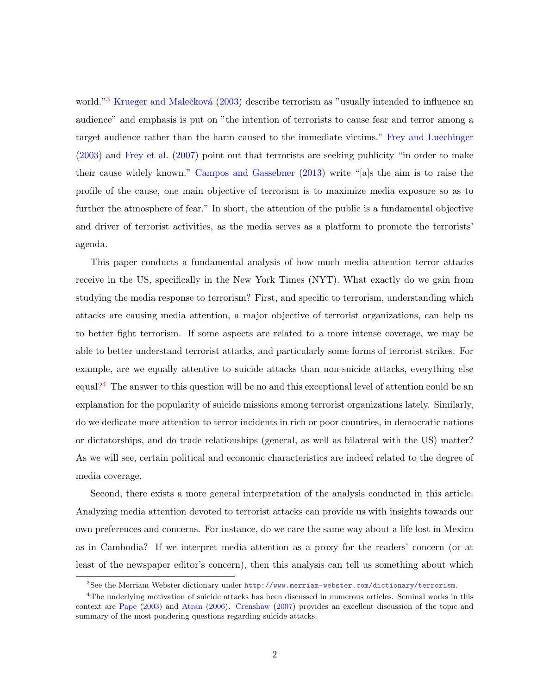world."<sup>[3](#page-4-0)</sup> Krueger and Malečková [\(2003\)](#page-49-3) describe terrorism as "usually intended to influence an audience" and emphasis is put on "the intention of terrorists to cause fear and terror among a target audience rather than the harm caused to the immediate victims." [Frey and Luechinger](#page-47-5) [\(2003\)](#page-47-5) and [Frey et al.](#page-47-2) [\(2007\)](#page-47-2) point out that terrorists are seeking publicity "in order to make their cause widely known." [Campos and Gassebner](#page-47-6) [\(2013\)](#page-47-6) write "[a]s the aim is to raise the profile of the cause, one main objective of terrorism is to maximize media exposure so as to further the atmosphere of fear." In short, the attention of the public is a fundamental objective and driver of terrorist activities, as the media serves as a platform to promote the terrorists' agenda.

This paper conducts a fundamental analysis of how much media attention terror attacks receive in the US, specifically in the New York Times (NYT). What exactly do we gain from studying the media response to terrorism? First, and specific to terrorism, understanding which attacks are causing media attention, a major objective of terrorist organizations, can help us to better fight terrorism. If some aspects are related to a more intense coverage, we may be able to better understand terrorist attacks, and particularly some forms of terrorist strikes. For example, are we equally attentive to suicide attacks than non-suicide attacks, everything else equal?<sup>[4](#page-4-1)</sup> The answer to this question will be no and this exceptional level of attention could be an explanation for the popularity of suicide missions among terrorist organizations lately. Similarly, do we dedicate more attention to terror incidents in rich or poor countries, in democratic nations or dictatorships, and do trade relationships (general, as well as bilateral with the US) matter? As we will see, certain political and economic characteristics are indeed related to the degree of media coverage.

Second, there exists a more general interpretation of the analysis conducted in this article. Analyzing media attention devoted to terrorist attacks can provide us with insights towards our own preferences and concerns. For instance, do we care the same way about a life lost in Mexico as in Cambodia? If we interpret media attention as a proxy for the readers' concern (or at least of the newspaper editor's concern), then this analysis can tell us something about which

<span id="page-4-1"></span><span id="page-4-0"></span><sup>3</sup>See the Merriam Webster dictionary under <http://www.merriam-webster.com/dictionary/terrorism>.

<sup>4</sup>The underlying motivation of suicide attacks has been discussed in numerous articles. Seminal works in this context are [Pape](#page-50-2) [\(2003\)](#page-50-2) and [Atran](#page-46-1) [\(2006\)](#page-46-1). [Crenshaw](#page-47-7) [\(2007\)](#page-47-7) provides an excellent discussion of the topic and summary of the most pondering questions regarding suicide attacks.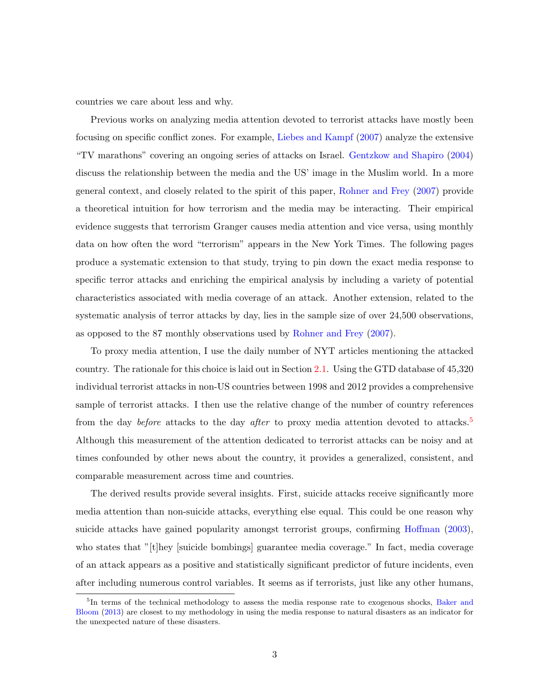countries we care about less and why.

Previous works on analyzing media attention devoted to terrorist attacks have mostly been focusing on specific conflict zones. For example, [Liebes and Kampf](#page-49-4) [\(2007\)](#page-49-4) analyze the extensive "TV marathons" covering an ongoing series of attacks on Israel. [Gentzkow and Shapiro](#page-48-2) [\(2004\)](#page-48-2) discuss the relationship between the media and the US' image in the Muslim world. In a more general context, and closely related to the spirit of this paper, [Rohner and Frey](#page-50-3) [\(2007\)](#page-50-3) provide a theoretical intuition for how terrorism and the media may be interacting. Their empirical evidence suggests that terrorism Granger causes media attention and vice versa, using monthly data on how often the word "terrorism" appears in the New York Times. The following pages produce a systematic extension to that study, trying to pin down the exact media response to specific terror attacks and enriching the empirical analysis by including a variety of potential characteristics associated with media coverage of an attack. Another extension, related to the systematic analysis of terror attacks by day, lies in the sample size of over 24,500 observations, as opposed to the 87 monthly observations used by [Rohner and Frey](#page-50-3) [\(2007\)](#page-50-3).

To proxy media attention, I use the daily number of NYT articles mentioning the attacked country. The rationale for this choice is laid out in Section [2.1.](#page-6-0) Using the GTD database of 45,320 individual terrorist attacks in non-US countries between 1998 and 2012 provides a comprehensive sample of terrorist attacks. I then use the relative change of the number of country references from the day *before* attacks to the day *after* to proxy media attention devoted to attacks.<sup>[5](#page-5-0)</sup> Although this measurement of the attention dedicated to terrorist attacks can be noisy and at times confounded by other news about the country, it provides a generalized, consistent, and comparable measurement across time and countries.

The derived results provide several insights. First, suicide attacks receive significantly more media attention than non-suicide attacks, everything else equal. This could be one reason why suicide attacks have gained popularity amongst terrorist groups, confirming [Hoffman](#page-48-3) [\(2003\)](#page-48-3), who states that "[t]hey [suicide bombings] guarantee media coverage." In fact, media coverage of an attack appears as a positive and statistically significant predictor of future incidents, even after including numerous control variables. It seems as if terrorists, just like any other humans,

<span id="page-5-0"></span><sup>&</sup>lt;sup>5</sup>In terms of the technical methodology to assess the media response rate to exogenous shocks, [Baker and](#page-46-2) [Bloom](#page-46-2) [\(2013\)](#page-46-2) are closest to my methodology in using the media response to natural disasters as an indicator for the unexpected nature of these disasters.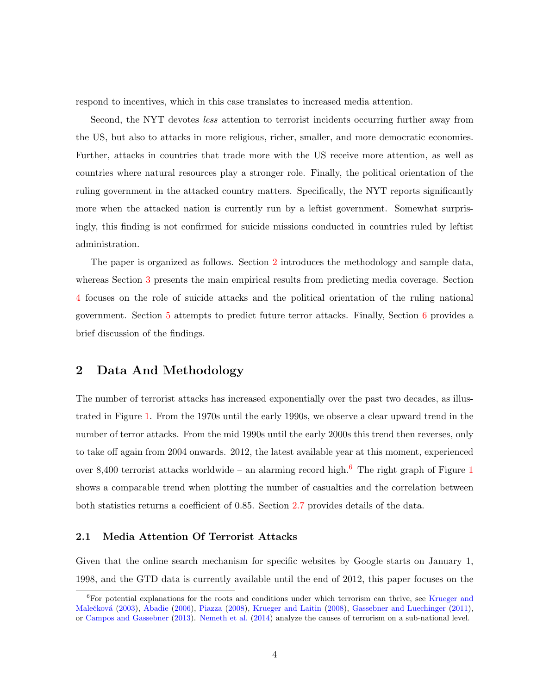respond to incentives, which in this case translates to increased media attention.

Second, the NYT devotes less attention to terrorist incidents occurring further away from the US, but also to attacks in more religious, richer, smaller, and more democratic economies. Further, attacks in countries that trade more with the US receive more attention, as well as countries where natural resources play a stronger role. Finally, the political orientation of the ruling government in the attacked country matters. Specifically, the NYT reports significantly more when the attacked nation is currently run by a leftist government. Somewhat surprisingly, this finding is not confirmed for suicide missions conducted in countries ruled by leftist administration.

The paper is organized as follows. Section [2](#page-6-1) introduces the methodology and sample data, whereas Section [3](#page-22-0) presents the main empirical results from predicting media coverage. Section [4](#page-33-0) focuses on the role of suicide attacks and the political orientation of the ruling national government. Section [5](#page-38-0) attempts to predict future terror attacks. Finally, Section [6](#page-44-0) provides a brief discussion of the findings.

## <span id="page-6-1"></span>2 Data And Methodology

The number of terrorist attacks has increased exponentially over the past two decades, as illustrated in Figure [1.](#page-7-0) From the 1970s until the early 1990s, we observe a clear upward trend in the number of terror attacks. From the mid 1990s until the early 2000s this trend then reverses, only to take off again from 2004 onwards. 2012, the latest available year at this moment, experienced over 8,400 terrorist attacks worldwide – an alarming record high.<sup>[6](#page-6-2)</sup> The right graph of Figure [1](#page-7-0) shows a comparable trend when plotting the number of casualties and the correlation between both statistics returns a coefficient of 0.85. Section [2.7](#page-17-0) provides details of the data.

#### <span id="page-6-0"></span>2.1 Media Attention Of Terrorist Attacks

Given that the online search mechanism for specific websites by Google starts on January 1, 1998, and the GTD data is currently available until the end of 2012, this paper focuses on the

<span id="page-6-2"></span><sup>6</sup>For potential explanations for the roots and conditions under which terrorism can thrive, see [Krueger and](#page-49-3) Malečková [\(2003\)](#page-49-3), [Abadie](#page-46-3) [\(2006\)](#page-46-3), [Piazza](#page-50-4) [\(2008\)](#page-49-5), [Krueger and Laitin](#page-49-5) (2008), [Gassebner and Luechinger](#page-48-4) [\(2011\)](#page-48-4), or [Campos and Gassebner](#page-47-6) [\(2013\)](#page-47-6). [Nemeth et al.](#page-50-5) [\(2014\)](#page-50-5) analyze the causes of terrorism on a sub-national level.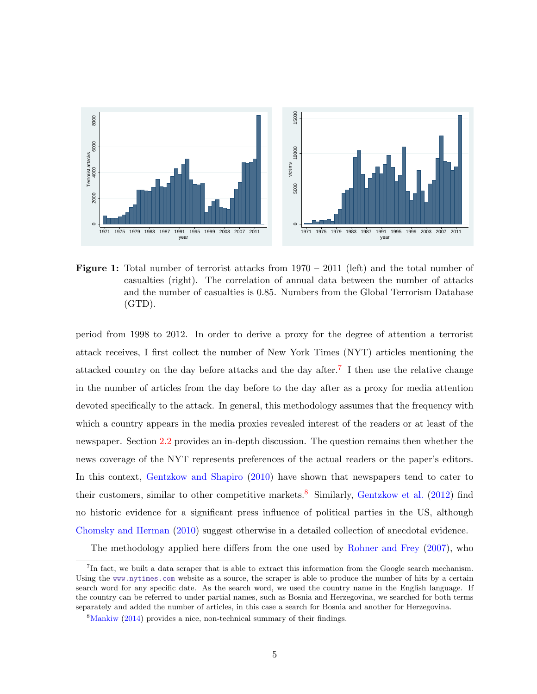<span id="page-7-0"></span>

Figure 1: Total number of terrorist attacks from  $1970 - 2011$  (left) and the total number of casualties (right). The correlation of annual data between the number of attacks and the number of casualties is 0.85. Numbers from the Global Terrorism Database (GTD).

period from 1998 to 2012. In order to derive a proxy for the degree of attention a terrorist attack receives, I first collect the number of New York Times (NYT) articles mentioning the attacked country on the day before attacks and the day after.<sup>[7](#page-7-1)</sup> I then use the relative change in the number of articles from the day before to the day after as a proxy for media attention devoted specifically to the attack. In general, this methodology assumes that the frequency with which a country appears in the media proxies revealed interest of the readers or at least of the newspaper. Section [2.2](#page-9-0) provides an in-depth discussion. The question remains then whether the news coverage of the NYT represents preferences of the actual readers or the paper's editors. In this context, [Gentzkow and Shapiro](#page-48-5)  $(2010)$  have shown that newspapers tend to cater to their customers, similar to other competitive markets.<sup>[8](#page-7-2)</sup> Similarly, [Gentzkow et al.](#page-48-6) [\(2012\)](#page-48-6) find no historic evidence for a significant press influence of political parties in the US, although [Chomsky and Herman](#page-47-8) [\(2010\)](#page-47-8) suggest otherwise in a detailed collection of anecdotal evidence.

The methodology applied here differs from the one used by [Rohner and Frey](#page-50-3) [\(2007\)](#page-50-3), who

<span id="page-7-1"></span><sup>&</sup>lt;sup>7</sup>In fact, we built a data scraper that is able to extract this information from the Google search mechanism. Using the <www.nytimes.com> website as a source, the scraper is able to produce the number of hits by a certain search word for any specific date. As the search word, we used the country name in the English language. If the country can be referred to under partial names, such as Bosnia and Herzegovina, we searched for both terms separately and added the number of articles, in this case a search for Bosnia and another for Herzegovina.

<span id="page-7-2"></span><sup>8</sup>[Mankiw](#page-49-6) [\(2014\)](#page-49-6) provides a nice, non-technical summary of their findings.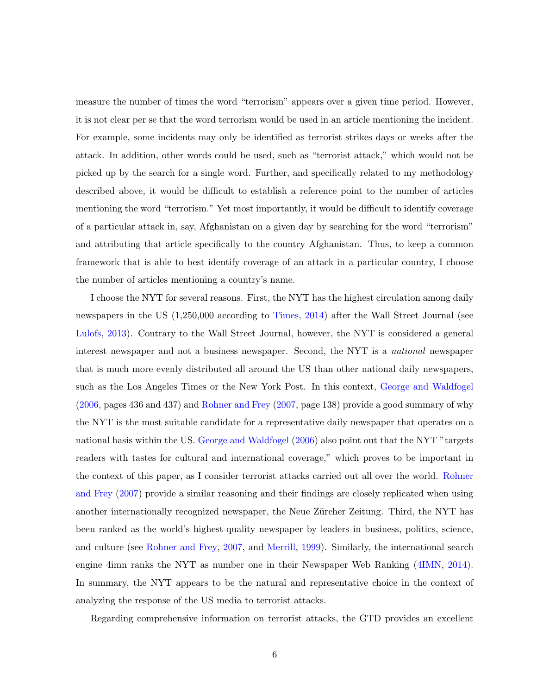measure the number of times the word "terrorism" appears over a given time period. However, it is not clear per se that the word terrorism would be used in an article mentioning the incident. For example, some incidents may only be identified as terrorist strikes days or weeks after the attack. In addition, other words could be used, such as "terrorist attack," which would not be picked up by the search for a single word. Further, and specifically related to my methodology described above, it would be difficult to establish a reference point to the number of articles mentioning the word "terrorism." Yet most importantly, it would be difficult to identify coverage of a particular attack in, say, Afghanistan on a given day by searching for the word "terrorism" and attributing that article specifically to the country Afghanistan. Thus, to keep a common framework that is able to best identify coverage of an attack in a particular country, I choose the number of articles mentioning a country's name.

I choose the NYT for several reasons. First, the NYT has the highest circulation among daily newspapers in the US (1,250,000 according to [Times,](#page-50-6) [2014\)](#page-50-6) after the Wall Street Journal (see [Lulofs,](#page-49-7) [2013\)](#page-49-7). Contrary to the Wall Street Journal, however, the NYT is considered a general interest newspaper and not a business newspaper. Second, the NYT is a national newspaper that is much more evenly distributed all around the US than other national daily newspapers, such as the Los Angeles Times or the New York Post. In this context, [George and Waldfogel](#page-48-7) [\(2006,](#page-48-7) pages 436 and 437) and [Rohner and Frey](#page-50-3) [\(2007,](#page-50-3) page 138) provide a good summary of why the NYT is the most suitable candidate for a representative daily newspaper that operates on a national basis within the US. [George and Waldfogel](#page-48-7) [\(2006\)](#page-48-7) also point out that the NYT "targets readers with tastes for cultural and international coverage," which proves to be important in the context of this paper, as I consider terrorist attacks carried out all over the world. [Rohner](#page-50-3) [and Frey](#page-50-3) [\(2007\)](#page-50-3) provide a similar reasoning and their findings are closely replicated when using another internationally recognized newspaper, the Neue Zürcher Zeitung. Third, the NYT has been ranked as the world's highest-quality newspaper by leaders in business, politics, science, and culture (see [Rohner and Frey,](#page-50-3) [2007,](#page-50-3) and [Merrill,](#page-49-8) [1999\)](#page-49-8). Similarly, the international search engine 4imn ranks the NYT as number one in their Newspaper Web Ranking [\(4IMN,](#page-46-4) [2014\)](#page-46-4). In summary, the NYT appears to be the natural and representative choice in the context of analyzing the response of the US media to terrorist attacks.

Regarding comprehensive information on terrorist attacks, the GTD provides an excellent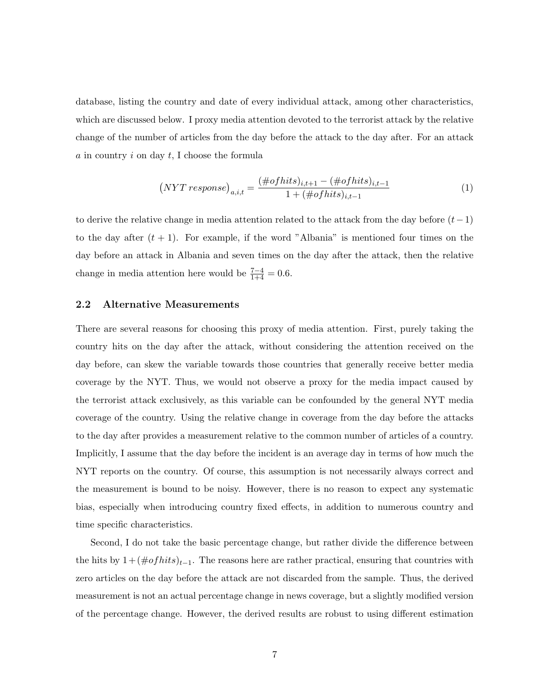database, listing the country and date of every individual attack, among other characteristics, which are discussed below. I proxy media attention devoted to the terrorist attack by the relative change of the number of articles from the day before the attack to the day after. For an attack  $a$  in country  $i$  on day  $t$ , I choose the formula

$$
(NYT response)_{a,i,t} = \frac{(\# of hits)_{i,t+1} - (\# of hits)_{i,t-1}}{1 + (\# of hits)_{i,t-1}} \tag{1}
$$

to derive the relative change in media attention related to the attack from the day before  $(t-1)$ to the day after  $(t + 1)$ . For example, if the word "Albania" is mentioned four times on the day before an attack in Albania and seven times on the day after the attack, then the relative change in media attention here would be  $\frac{7-4}{1+4} = 0.6$ .

#### <span id="page-9-0"></span>2.2 Alternative Measurements

There are several reasons for choosing this proxy of media attention. First, purely taking the country hits on the day after the attack, without considering the attention received on the day before, can skew the variable towards those countries that generally receive better media coverage by the NYT. Thus, we would not observe a proxy for the media impact caused by the terrorist attack exclusively, as this variable can be confounded by the general NYT media coverage of the country. Using the relative change in coverage from the day before the attacks to the day after provides a measurement relative to the common number of articles of a country. Implicitly, I assume that the day before the incident is an average day in terms of how much the NYT reports on the country. Of course, this assumption is not necessarily always correct and the measurement is bound to be noisy. However, there is no reason to expect any systematic bias, especially when introducing country fixed effects, in addition to numerous country and time specific characteristics.

Second, I do not take the basic percentage change, but rather divide the difference between the hits by  $1 + (\# of hits)_{t-1}$ . The reasons here are rather practical, ensuring that countries with zero articles on the day before the attack are not discarded from the sample. Thus, the derived measurement is not an actual percentage change in news coverage, but a slightly modified version of the percentage change. However, the derived results are robust to using different estimation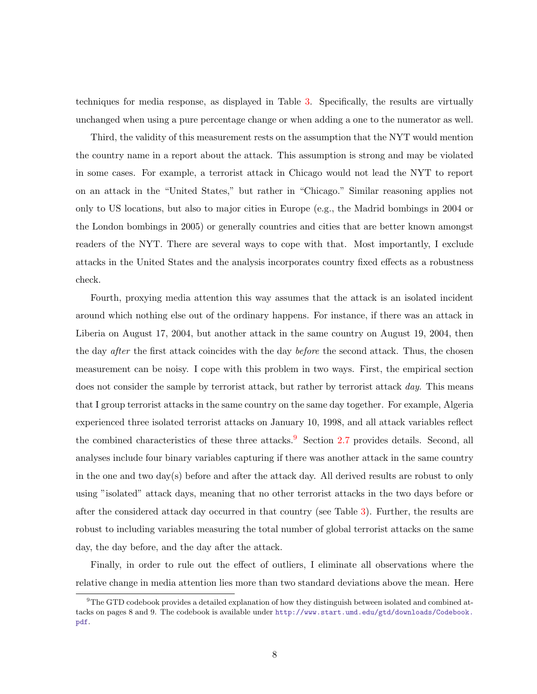techniques for media response, as displayed in Table [3.](#page-27-0) Specifically, the results are virtually unchanged when using a pure percentage change or when adding a one to the numerator as well.

Third, the validity of this measurement rests on the assumption that the NYT would mention the country name in a report about the attack. This assumption is strong and may be violated in some cases. For example, a terrorist attack in Chicago would not lead the NYT to report on an attack in the "United States," but rather in "Chicago." Similar reasoning applies not only to US locations, but also to major cities in Europe (e.g., the Madrid bombings in 2004 or the London bombings in 2005) or generally countries and cities that are better known amongst readers of the NYT. There are several ways to cope with that. Most importantly, I exclude attacks in the United States and the analysis incorporates country fixed effects as a robustness check.

Fourth, proxying media attention this way assumes that the attack is an isolated incident around which nothing else out of the ordinary happens. For instance, if there was an attack in Liberia on August 17, 2004, but another attack in the same country on August 19, 2004, then the day after the first attack coincides with the day before the second attack. Thus, the chosen measurement can be noisy. I cope with this problem in two ways. First, the empirical section does not consider the sample by terrorist attack, but rather by terrorist attack day. This means that I group terrorist attacks in the same country on the same day together. For example, Algeria experienced three isolated terrorist attacks on January 10, 1998, and all attack variables reflect the combined characteristics of these three attacks.<sup>[9](#page-10-0)</sup> Section [2.7](#page-17-0) provides details. Second, all analyses include four binary variables capturing if there was another attack in the same country in the one and two day(s) before and after the attack day. All derived results are robust to only using "isolated" attack days, meaning that no other terrorist attacks in the two days before or after the considered attack day occurred in that country (see Table [3\)](#page-27-0). Further, the results are robust to including variables measuring the total number of global terrorist attacks on the same day, the day before, and the day after the attack.

Finally, in order to rule out the effect of outliers, I eliminate all observations where the relative change in media attention lies more than two standard deviations above the mean. Here

<span id="page-10-0"></span><sup>9</sup>The GTD codebook provides a detailed explanation of how they distinguish between isolated and combined attacks on pages 8 and 9. The codebook is available under [http://www.start.umd.edu/gtd/downloads/Codebook.](http://www.start.umd.edu/gtd/downloads/Codebook.pdf) [pdf](http://www.start.umd.edu/gtd/downloads/Codebook.pdf).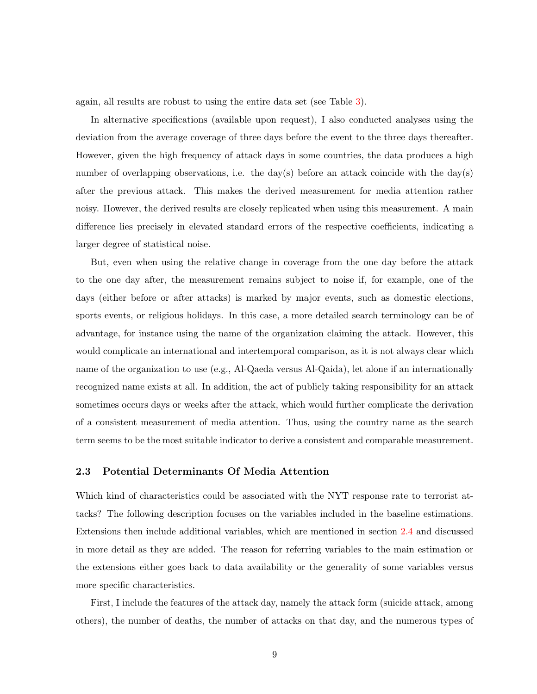again, all results are robust to using the entire data set (see Table [3\)](#page-27-0).

In alternative specifications (available upon request), I also conducted analyses using the deviation from the average coverage of three days before the event to the three days thereafter. However, given the high frequency of attack days in some countries, the data produces a high number of overlapping observations, i.e. the day(s) before an attack coincide with the day(s) after the previous attack. This makes the derived measurement for media attention rather noisy. However, the derived results are closely replicated when using this measurement. A main difference lies precisely in elevated standard errors of the respective coefficients, indicating a larger degree of statistical noise.

But, even when using the relative change in coverage from the one day before the attack to the one day after, the measurement remains subject to noise if, for example, one of the days (either before or after attacks) is marked by major events, such as domestic elections, sports events, or religious holidays. In this case, a more detailed search terminology can be of advantage, for instance using the name of the organization claiming the attack. However, this would complicate an international and intertemporal comparison, as it is not always clear which name of the organization to use (e.g., Al-Qaeda versus Al-Qaida), let alone if an internationally recognized name exists at all. In addition, the act of publicly taking responsibility for an attack sometimes occurs days or weeks after the attack, which would further complicate the derivation of a consistent measurement of media attention. Thus, using the country name as the search term seems to be the most suitable indicator to derive a consistent and comparable measurement.

#### 2.3 Potential Determinants Of Media Attention

Which kind of characteristics could be associated with the NYT response rate to terrorist attacks? The following description focuses on the variables included in the baseline estimations. Extensions then include additional variables, which are mentioned in section [2.4](#page-13-0) and discussed in more detail as they are added. The reason for referring variables to the main estimation or the extensions either goes back to data availability or the generality of some variables versus more specific characteristics.

First, I include the features of the attack day, namely the attack form (suicide attack, among others), the number of deaths, the number of attacks on that day, and the numerous types of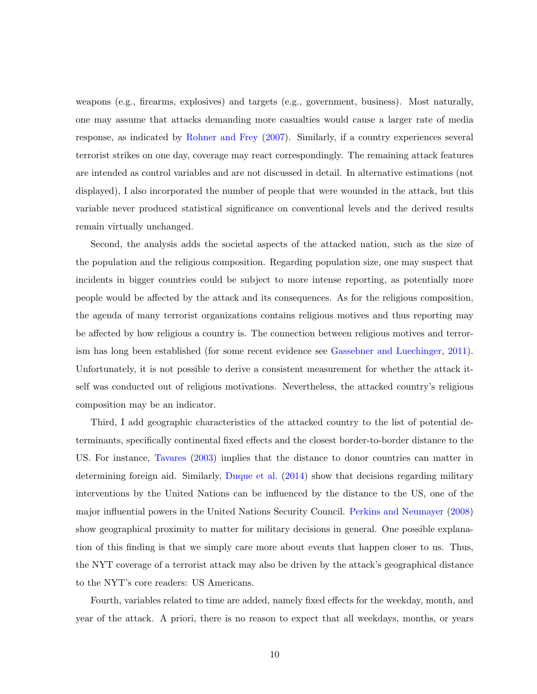weapons (e.g., firearms, explosives) and targets (e.g., government, business). Most naturally, one may assume that attacks demanding more casualties would cause a larger rate of media response, as indicated by [Rohner and Frey](#page-50-3) [\(2007\)](#page-50-3). Similarly, if a country experiences several terrorist strikes on one day, coverage may react correspondingly. The remaining attack features are intended as control variables and are not discussed in detail. In alternative estimations (not displayed), I also incorporated the number of people that were wounded in the attack, but this variable never produced statistical significance on conventional levels and the derived results remain virtually unchanged.

Second, the analysis adds the societal aspects of the attacked nation, such as the size of the population and the religious composition. Regarding population size, one may suspect that incidents in bigger countries could be subject to more intense reporting, as potentially more people would be affected by the attack and its consequences. As for the religious composition, the agenda of many terrorist organizations contains religious motives and thus reporting may be affected by how religious a country is. The connection between religious motives and terrorism has long been established (for some recent evidence see [Gassebner and Luechinger,](#page-48-4) [2011\)](#page-48-4). Unfortunately, it is not possible to derive a consistent measurement for whether the attack itself was conducted out of religious motivations. Nevertheless, the attacked country's religious composition may be an indicator.

Third, I add geographic characteristics of the attacked country to the list of potential determinants, specifically continental fixed effects and the closest border-to-border distance to the US. For instance, [Tavares](#page-50-7) [\(2003\)](#page-50-7) implies that the distance to donor countries can matter in determining foreign aid. Similarly, [Duque et al.](#page-47-9) [\(2014\)](#page-47-9) show that decisions regarding military interventions by the United Nations can be influenced by the distance to the US, one of the major influential powers in the United Nations Security Council. [Perkins and Neumayer](#page-50-8) [\(2008\)](#page-50-8) show geographical proximity to matter for military decisions in general. One possible explanation of this finding is that we simply care more about events that happen closer to us. Thus, the NYT coverage of a terrorist attack may also be driven by the attack's geographical distance to the NYT's core readers: US Americans.

Fourth, variables related to time are added, namely fixed effects for the weekday, month, and year of the attack. A priori, there is no reason to expect that all weekdays, months, or years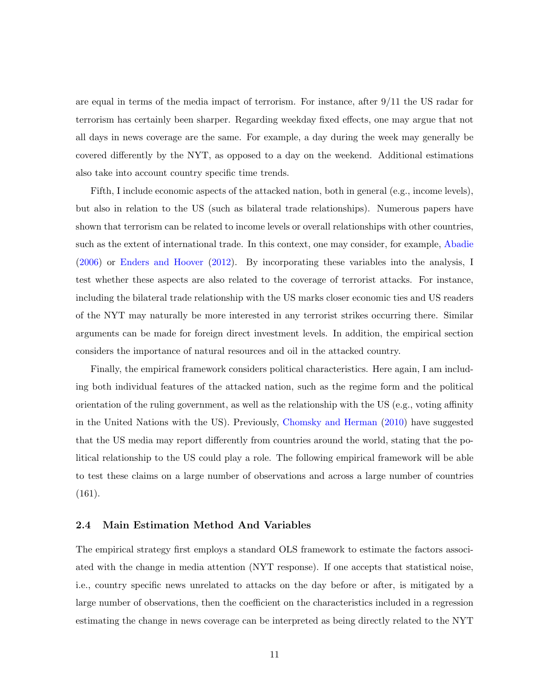are equal in terms of the media impact of terrorism. For instance, after 9/11 the US radar for terrorism has certainly been sharper. Regarding weekday fixed effects, one may argue that not all days in news coverage are the same. For example, a day during the week may generally be covered differently by the NYT, as opposed to a day on the weekend. Additional estimations also take into account country specific time trends.

Fifth, I include economic aspects of the attacked nation, both in general (e.g., income levels), but also in relation to the US (such as bilateral trade relationships). Numerous papers have shown that terrorism can be related to income levels or overall relationships with other countries, such as the extent of international trade. In this context, one may consider, for example, [Abadie](#page-46-3) [\(2006\)](#page-46-3) or [Enders and Hoover](#page-47-10) [\(2012\)](#page-47-10). By incorporating these variables into the analysis, I test whether these aspects are also related to the coverage of terrorist attacks. For instance, including the bilateral trade relationship with the US marks closer economic ties and US readers of the NYT may naturally be more interested in any terrorist strikes occurring there. Similar arguments can be made for foreign direct investment levels. In addition, the empirical section considers the importance of natural resources and oil in the attacked country.

Finally, the empirical framework considers political characteristics. Here again, I am including both individual features of the attacked nation, such as the regime form and the political orientation of the ruling government, as well as the relationship with the US (e.g., voting affinity in the United Nations with the US). Previously, [Chomsky and Herman](#page-47-8) [\(2010\)](#page-47-8) have suggested that the US media may report differently from countries around the world, stating that the political relationship to the US could play a role. The following empirical framework will be able to test these claims on a large number of observations and across a large number of countries (161).

#### <span id="page-13-0"></span>2.4 Main Estimation Method And Variables

The empirical strategy first employs a standard OLS framework to estimate the factors associated with the change in media attention (NYT response). If one accepts that statistical noise, i.e., country specific news unrelated to attacks on the day before or after, is mitigated by a large number of observations, then the coefficient on the characteristics included in a regression estimating the change in news coverage can be interpreted as being directly related to the NYT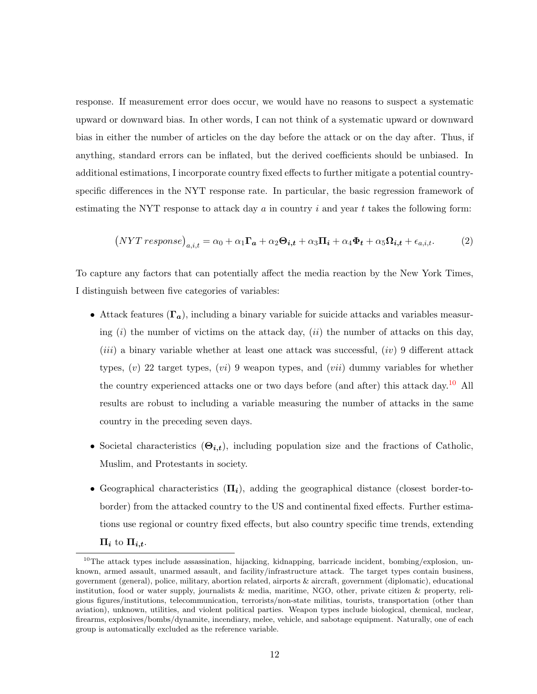response. If measurement error does occur, we would have no reasons to suspect a systematic upward or downward bias. In other words, I can not think of a systematic upward or downward bias in either the number of articles on the day before the attack or on the day after. Thus, if anything, standard errors can be inflated, but the derived coefficients should be unbiased. In additional estimations, I incorporate country fixed effects to further mitigate a potential countryspecific differences in the NYT response rate. In particular, the basic regression framework of estimating the NYT response to attack day  $a$  in country  $i$  and year  $t$  takes the following form:

<span id="page-14-1"></span>
$$
(NYT\ response)_{a,i,t} = \alpha_0 + \alpha_1 \Gamma_a + \alpha_2 \Theta_{i,t} + \alpha_3 \Pi_i + \alpha_4 \Phi_t + \alpha_5 \Omega_{i,t} + \epsilon_{a,i,t}.
$$
 (2)

To capture any factors that can potentially affect the media reaction by the New York Times, I distinguish between five categories of variables:

- Attack features  $(\Gamma_a)$ , including a binary variable for suicide attacks and variables measuring  $(i)$  the number of victims on the attack day,  $(ii)$  the number of attacks on this day,  $(iii)$  a binary variable whether at least one attack was successful,  $(iv)$  9 different attack types,  $(v)$  22 target types,  $(vi)$  9 weapon types, and  $(vii)$  dummy variables for whether the country experienced attacks one or two days before (and after) this attack day.<sup>[10](#page-14-0)</sup> All results are robust to including a variable measuring the number of attacks in the same country in the preceding seven days.
- Societal characteristics  $(\Theta_{i,t})$ , including population size and the fractions of Catholic, Muslim, and Protestants in society.
- Geographical characteristics  $(\Pi_i)$ , adding the geographical distance (closest border-toborder) from the attacked country to the US and continental fixed effects. Further estimations use regional or country fixed effects, but also country specific time trends, extending  $\Pi_i$  to  $\Pi_{i,t}$ .

<span id="page-14-0"></span><sup>&</sup>lt;sup>10</sup>The attack types include assassination, hijacking, kidnapping, barricade incident, bombing/explosion, unknown, armed assault, unarmed assault, and facility/infrastructure attack. The target types contain business, government (general), police, military, abortion related, airports & aircraft, government (diplomatic), educational institution, food or water supply, journalists & media, maritime, NGO, other, private citizen & property, religious figures/institutions, telecommunication, terrorists/non-state militias, tourists, transportation (other than aviation), unknown, utilities, and violent political parties. Weapon types include biological, chemical, nuclear, firearms, explosives/bombs/dynamite, incendiary, melee, vehicle, and sabotage equipment. Naturally, one of each group is automatically excluded as the reference variable.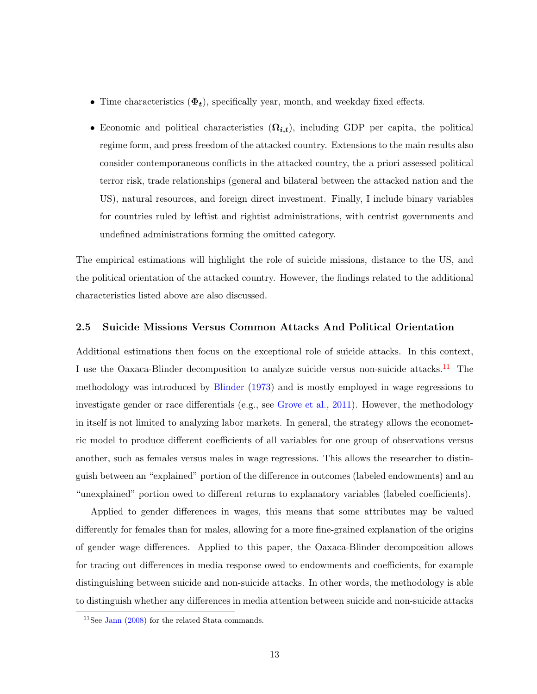- Time characteristics  $(\Phi_t)$ , specifically year, month, and weekday fixed effects.
- Economic and political characteristics  $(\Omega_{i,t})$ , including GDP per capita, the political regime form, and press freedom of the attacked country. Extensions to the main results also consider contemporaneous conflicts in the attacked country, the a priori assessed political terror risk, trade relationships (general and bilateral between the attacked nation and the US), natural resources, and foreign direct investment. Finally, I include binary variables for countries ruled by leftist and rightist administrations, with centrist governments and undefined administrations forming the omitted category.

The empirical estimations will highlight the role of suicide missions, distance to the US, and the political orientation of the attacked country. However, the findings related to the additional characteristics listed above are also discussed.

#### 2.5 Suicide Missions Versus Common Attacks And Political Orientation

Additional estimations then focus on the exceptional role of suicide attacks. In this context, I use the Oaxaca-Blinder decomposition to analyze suicide versus non-suicide attacks.<sup>[11](#page-15-0)</sup> The methodology was introduced by [Blinder](#page-46-5) [\(1973\)](#page-46-5) and is mostly employed in wage regressions to investigate gender or race differentials (e.g., see [Grove et al.,](#page-48-8) [2011\)](#page-48-8). However, the methodology in itself is not limited to analyzing labor markets. In general, the strategy allows the econometric model to produce different coefficients of all variables for one group of observations versus another, such as females versus males in wage regressions. This allows the researcher to distinguish between an "explained" portion of the difference in outcomes (labeled endowments) and an "unexplained" portion owed to different returns to explanatory variables (labeled coefficients).

Applied to gender differences in wages, this means that some attributes may be valued differently for females than for males, allowing for a more fine-grained explanation of the origins of gender wage differences. Applied to this paper, the Oaxaca-Blinder decomposition allows for tracing out differences in media response owed to endowments and coefficients, for example distinguishing between suicide and non-suicide attacks. In other words, the methodology is able to distinguish whether any differences in media attention between suicide and non-suicide attacks

<span id="page-15-0"></span> $11$ See [Jann](#page-49-9) [\(2008\)](#page-49-9) for the related Stata commands.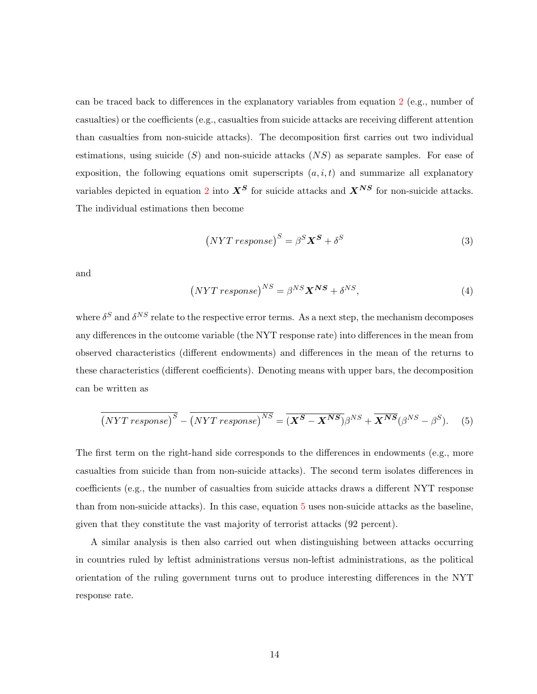can be traced back to differences in the explanatory variables from equation [2](#page-14-1) (e.g., number of casualties) or the coefficients (e.g., casualties from suicide attacks are receiving different attention than casualties from non-suicide attacks). The decomposition first carries out two individual estimations, using suicide  $(S)$  and non-suicide attacks  $(NS)$  as separate samples. For ease of exposition, the following equations omit superscripts  $(a, i, t)$  and summarize all explanatory variables depicted in equation [2](#page-14-1) into  $X^S$  for suicide attacks and  $X^{NS}$  for non-suicide attacks. The individual estimations then become

$$
(NYT response)^{S} = \beta^{S} \mathbf{X}^{S} + \delta^{S}
$$
\n(3)

and

$$
(NYT response)^{NS} = \beta^{NS} \mathbf{X}^{NS} + \delta^{NS}, \tag{4}
$$

where  $\delta^S$  and  $\delta^{NS}$  relate to the respective error terms. As a next step, the mechanism decomposes any differences in the outcome variable (the NYT response rate) into differences in the mean from observed characteristics (different endowments) and differences in the mean of the returns to these characteristics (different coefficients). Denoting means with upper bars, the decomposition can be written as

<span id="page-16-0"></span>
$$
\overline{(NYT\ response)}^S - \overline{(NYT\ response)}^{NS} = \overline{(X^S - X^{NS})}\beta^{NS} + \overline{X^{NS}}(\beta^{NS} - \beta^S). \tag{5}
$$

The first term on the right-hand side corresponds to the differences in endowments (e.g., more casualties from suicide than from non-suicide attacks). The second term isolates differences in coefficients (e.g., the number of casualties from suicide attacks draws a different NYT response than from non-suicide attacks). In this case, equation [5](#page-16-0) uses non-suicide attacks as the baseline, given that they constitute the vast majority of terrorist attacks (92 percent).

A similar analysis is then also carried out when distinguishing between attacks occurring in countries ruled by leftist administrations versus non-leftist administrations, as the political orientation of the ruling government turns out to produce interesting differences in the NYT response rate.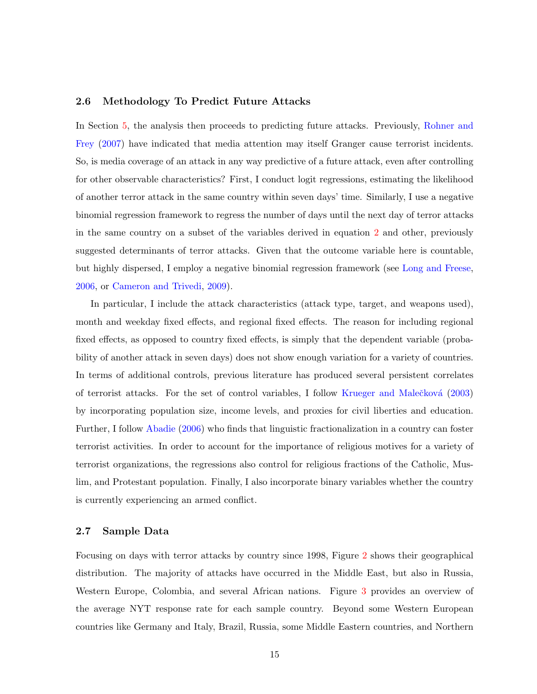#### 2.6 Methodology To Predict Future Attacks

In Section [5,](#page-38-0) the analysis then proceeds to predicting future attacks. Previously, [Rohner and](#page-50-3) [Frey](#page-50-3) [\(2007\)](#page-50-3) have indicated that media attention may itself Granger cause terrorist incidents. So, is media coverage of an attack in any way predictive of a future attack, even after controlling for other observable characteristics? First, I conduct logit regressions, estimating the likelihood of another terror attack in the same country within seven days' time. Similarly, I use a negative binomial regression framework to regress the number of days until the next day of terror attacks in the same country on a subset of the variables derived in equation [2](#page-14-1) and other, previously suggested determinants of terror attacks. Given that the outcome variable here is countable, but highly dispersed, I employ a negative binomial regression framework (see [Long and Freese,](#page-49-10) [2006,](#page-49-10) or [Cameron and Trivedi,](#page-46-6) [2009\)](#page-46-6).

In particular, I include the attack characteristics (attack type, target, and weapons used), month and weekday fixed effects, and regional fixed effects. The reason for including regional fixed effects, as opposed to country fixed effects, is simply that the dependent variable (probability of another attack in seven days) does not show enough variation for a variety of countries. In terms of additional controls, previous literature has produced several persistent correlates of terrorist attacks. For the set of control variables, I follow Krueger and Malečková [\(2003\)](#page-49-3) by incorporating population size, income levels, and proxies for civil liberties and education. Further, I follow [Abadie](#page-46-3) [\(2006\)](#page-46-3) who finds that linguistic fractionalization in a country can foster terrorist activities. In order to account for the importance of religious motives for a variety of terrorist organizations, the regressions also control for religious fractions of the Catholic, Muslim, and Protestant population. Finally, I also incorporate binary variables whether the country is currently experiencing an armed conflict.

#### <span id="page-17-0"></span>2.7 Sample Data

Focusing on days with terror attacks by country since 1998, Figure [2](#page-18-0) shows their geographical distribution. The majority of attacks have occurred in the Middle East, but also in Russia, Western Europe, Colombia, and several African nations. Figure [3](#page-20-0) provides an overview of the average NYT response rate for each sample country. Beyond some Western European countries like Germany and Italy, Brazil, Russia, some Middle Eastern countries, and Northern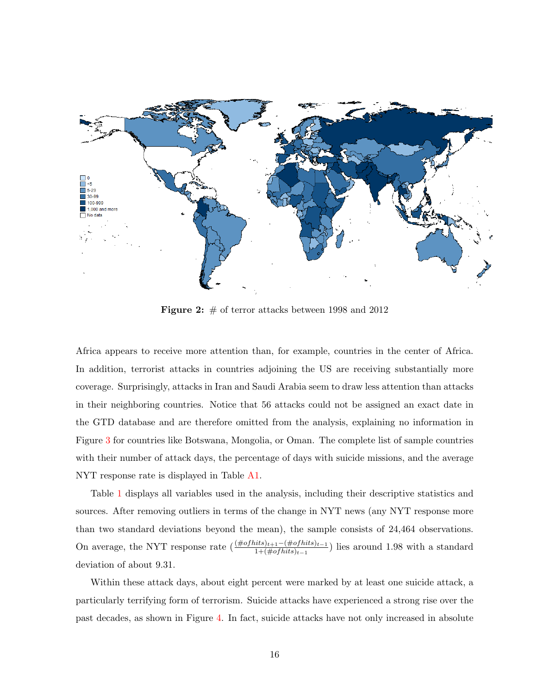<span id="page-18-0"></span>

**Figure 2:**  $\#$  of terror attacks between 1998 and 2012

Africa appears to receive more attention than, for example, countries in the center of Africa. In addition, terrorist attacks in countries adjoining the US are receiving substantially more coverage. Surprisingly, attacks in Iran and Saudi Arabia seem to draw less attention than attacks in their neighboring countries. Notice that 56 attacks could not be assigned an exact date in the GTD database and are therefore omitted from the analysis, explaining no information in Figure [3](#page-20-0) for countries like Botswana, Mongolia, or Oman. The complete list of sample countries with their number of attack days, the percentage of days with suicide missions, and the average NYT response rate is displayed in Table [A1.](#page-52-0)

Table [1](#page-19-0) displays all variables used in the analysis, including their descriptive statistics and sources. After removing outliers in terms of the change in NYT news (any NYT response more than two standard deviations beyond the mean), the sample consists of 24,464 observations. On average, the NYT response rate  $\left(\frac{(\# of hits)_{t+1} - (\# of hits)_{t-1}}{1 + (\# of hits)_{t-1}}\right)$  lies around 1.98 with a standard deviation of about 9.31.

Within these attack days, about eight percent were marked by at least one suicide attack, a particularly terrifying form of terrorism. Suicide attacks have experienced a strong rise over the past decades, as shown in Figure [4.](#page-21-0) In fact, suicide attacks have not only increased in absolute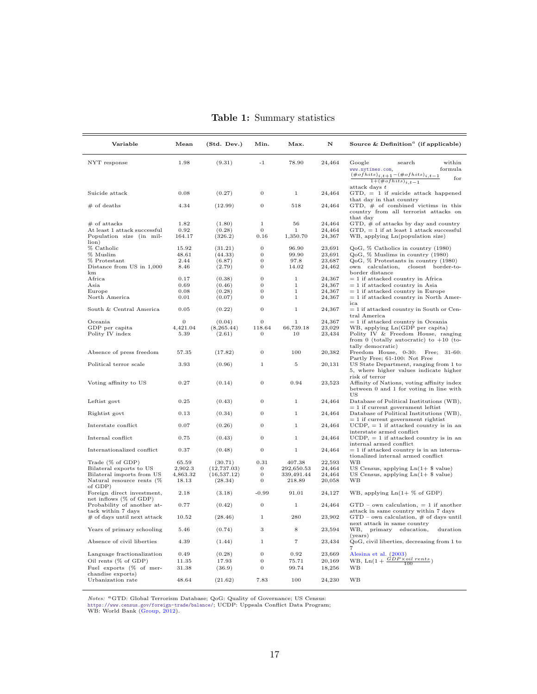<span id="page-19-0"></span>

| Variable                                             | Mean                     | (Std. Dev.)           | Min.                           | Max.                     | N                | Source & Definition <sup>a</sup> (if applicable)                                                                                                 |
|------------------------------------------------------|--------------------------|-----------------------|--------------------------------|--------------------------|------------------|--------------------------------------------------------------------------------------------------------------------------------------------------|
| NYT response                                         | 1.98                     | (9.31)                | $-1$                           | 78.90                    | 24,464           | Google<br>search<br>within<br>www.nytimes.com,<br>formula<br>$(\# of hits)_{i, t+1} - (\# of hits)_{i, t-1})$<br>for<br>$1+(\# of hits)_{i,t-1}$ |
| Suicide attack                                       | 0.08                     | (0.27)                | $\boldsymbol{0}$               | $\mathbf{1}$             | 24,464           | attack days $t$<br>$GTD$ , $= 1$ if suicide attack happened                                                                                      |
| $#$ of deaths                                        | 4.34                     | (12.99)               | $\mathbf{0}$                   | 518                      | 24,464           | that day in that country<br>GTD, # of combined victims in this<br>country from all terrorist attacks on                                          |
| $#$ of attacks                                       | 1.82                     | (1.80)                | 1                              | 56                       | 24,464           | that day<br>$GTD, \#$ of attacks by day and country                                                                                              |
| At least 1 attack successful                         | 0.92                     | (0.28)                | $\mathbf{0}$                   | $\mathbf{1}$             | 24,464           | $GTD$ , = 1 if at least 1 attack successful                                                                                                      |
| Population size (in mil-<br>lion)                    | 164.17                   | (326.2)               | 0.16                           | 1,350.70                 | 24,367           | WB, applying Ln(population size)                                                                                                                 |
| % Catholic                                           | 15.92                    | (31.21)               | $\theta$                       | 96.90                    | 23,691           | QoG, % Catholics in country (1980)                                                                                                               |
| % Muslim                                             | 48.61                    | (44.33)               | $\mathbf{0}$                   | 99.90                    | 23,691           | QoG, % Muslims in country (1980)                                                                                                                 |
| $%$ Protestant                                       | 2.44                     | (6.87)                | $\mathbf{0}$                   | 97.8                     | 23,687           | QoG, % Protestants in country (1980)                                                                                                             |
| Distance from US in 1,000<br>km                      | 8.46                     | (2.79)                | $\mathbf{0}$                   | 14.02                    | 24,462           | own calculation, closest border-to-<br>border distance                                                                                           |
| Africa                                               | 0.17                     | (0.38)                | $\overline{0}$                 | $\,1$                    | 24,367           | $= 1$ if attacked country in Africa                                                                                                              |
| Asia                                                 | 0.69                     | (0.46)                | $\mathbf{0}$                   | $\,1$                    | 24,367           | $= 1$ if attacked country in Asia                                                                                                                |
| Europe                                               | 0.08                     | (0.28)                | $\mathbf{0}$<br>$\overline{0}$ | $\mathbf 1$              | 24,367           | $= 1$ if attacked country in Europe                                                                                                              |
| North America<br>South & Central America             | 0.01<br>0.05             | (0.07)                | $\overline{0}$                 | $\,1$<br>$\,1$           | 24,367           | $= 1$ if attacked country in North Amer-<br>ica                                                                                                  |
|                                                      |                          | (0.22)                |                                |                          | 24,367           | $= 1$ if attacked country in South or Cen-<br>tral America                                                                                       |
| Oceania                                              | $\mathbf{0}$<br>4,421.04 | (0.04)<br>(8, 265.44) | $\mathbf{0}$<br>118.64         | $\mathbf 1$<br>66,739.18 | 24,367<br>23,029 | $= 1$ if attacked country in Oceania                                                                                                             |
| GDP per capita<br>Polity IV index                    | 5.39                     | (2.61)                | $\mathbf{0}$                   | 10                       | 23,434           | WB, applying Ln(GDP per capita)<br>Polity IV & Freedom House, ranging<br>from 0 (totally autocratic) to $+10$ (to-<br>tally democratic)          |
| Absence of press freedom                             | 57.35                    | (17.82)               | $\theta$                       | 100                      | 20,382           | Freedom House, 0-30:<br>Free; $31-60$ :<br>Partly Free; 61-100: Not Free                                                                         |
| Political terror scale                               | 3.93                     | (0.96)                | $\mathbf{1}$                   | $\overline{5}$           | 20,131           | US State Department, ranging from 1 to<br>5, where higher values indicate higher<br>risk of terror                                               |
| Voting affinity to US                                | 0.27                     | (0.14)                | $\mathbf{0}$                   | 0.94                     | 23,523           | Affinity of Nations, voting affinity index<br>between 0 and 1 for voting in line with<br>US                                                      |
| Leftist govt                                         | 0.25                     | (0.43)                | $\mathbf{0}$                   | $\,1$                    | 24,464           | Database of Political Institutions (WB),<br>$= 1$ if current government leftist                                                                  |
| Rightist govt                                        | 0.13                     | (0.34)                | $\mathbf{0}$                   | $\mathbf{1}$             | 24,464           | Database of Political Institutions (WB),<br>$= 1$ if current government rightist                                                                 |
| Interstate conflict                                  | 0.07                     | (0.26)                | $\mathbf{0}$                   | $\mathbf{1}$             | 24,464           | $UCDP$ , = 1 if attacked country is in an<br>interstate armed conflict                                                                           |
| Internal conflict                                    | 0.75                     | (0.43)                | $\mathbf{0}$                   | $\mathbf{1}$             | 24,464           | $UCDP$ , = 1 if attacked country is in an<br>internal armed conflict                                                                             |
| Internationalized conflict                           | 0.37                     | (0.48)                | $\mathbf{0}$                   | $\,1$                    | 24,464           | $= 1$ if attacked country is in an interna-<br>tionalized internal armed conflict                                                                |
| Trade (% of GDP)                                     | 65.59                    | (30.71)               | 0.31                           | 407.38                   | 22,593           | WВ                                                                                                                                               |
| Bilateral exports to US                              | 2,902.3                  | (12, 737.03)          | $\mathbf{0}$                   | 292,650.53               | 24,464           | US Census, applying $Ln(1+$ \$ value)                                                                                                            |
| Bilateral imports from US                            | 4,863.32                 | (16, 537.12)          | $\mathbf{0}$                   | 339,491.44               | 24,464           | US Census, applying $Ln(1+$ \$ value)                                                                                                            |
| Natural resource rents (%<br>of GDP)                 | 18.13                    | (28.34)               | $\overline{0}$                 | 218.89                   | 20,058           | WB                                                                                                                                               |
| Foreign direct investment,<br>net inflows (% of GDP) | 2.18                     | (3.18)                | $-0.99$                        | 91.01                    | 24,127           | WB, applying $Ln(1 + %)$ of GDP)                                                                                                                 |
| Probability of another at-<br>tack within 7 days     | 0.77                     | (0.42)                | $\mathbf{0}$                   | $\mathbf{1}$             | 24,464           | $GTD$ - own calculation, $= 1$ if another<br>attack in same country within 7 days                                                                |
| $#$ of days until next attack                        | 10.52                    | (28.46)               | $\mathbf{1}$                   | 280                      | 23,902           | $\operatorname{GTD}$ – own calculation, $\#$ of days until<br>next attack in same country                                                        |
| Years of primary schooling                           | 5.46                     | (0.74)                | 3                              | 8                        | 23,594           | WB,<br>primary education,<br>duration<br>(years)                                                                                                 |
| Absence of civil liberties                           | 4.39                     | (1.44)                | $\mathbf{1}$                   | $\overline{7}$           | 23,434           | QoG, civil liberties, decreasing from 1 to<br>$\overline{7}$                                                                                     |
| Language fractionalization                           | 0.49                     | (0.28)                | $\mathbf{0}$                   | 0.92                     | 23,669           | Alesina et al. (2003)                                                                                                                            |
| Oil rents $(\%$ of GDP)                              | 11.35                    | 17.93                 | $\boldsymbol{0}$               | 75.71                    | 20,169           | WB, $\text{Ln}(1 + \frac{GDP \times oil \text{ cents}}{100})$<br>100                                                                             |
| Fuel exports (% of mer-<br>chandise exports)         | 31.38                    | (36.9)                | $\mathbf{0}$                   | 99.74                    | 18,256           | WB                                                                                                                                               |
| Urbanization rate                                    | 48.64                    | (21.62)               | 7.83                           | 100                      | 24,230           | <b>WB</b>                                                                                                                                        |

Table 1: Summary statistics

Notes: <sup>a</sup>GTD: Global Terrorism Database; QoG: Quality of Governance; US Census:<br><https://www.census.gov/foreign-trade/balance/>; UCDP: Uppsala Conflict Data Program;<br>WB: World Bank [\(Group,](#page-48-9) [2012\)](#page-48-9).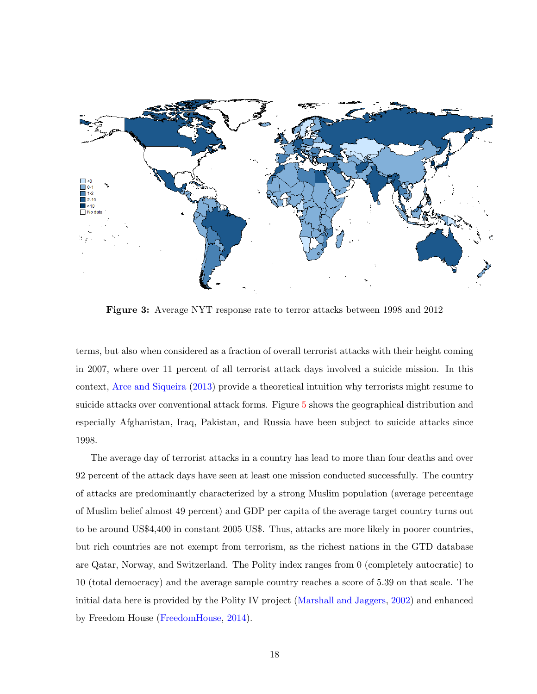<span id="page-20-0"></span>

Figure 3: Average NYT response rate to terror attacks between 1998 and 2012

terms, but also when considered as a fraction of overall terrorist attacks with their height coming in 2007, where over 11 percent of all terrorist attack days involved a suicide mission. In this context, [Arce and Siqueira](#page-46-8) [\(2013\)](#page-46-8) provide a theoretical intuition why terrorists might resume to suicide attacks over conventional attack forms. Figure [5](#page-21-1) shows the geographical distribution and especially Afghanistan, Iraq, Pakistan, and Russia have been subject to suicide attacks since 1998.

The average day of terrorist attacks in a country has lead to more than four deaths and over 92 percent of the attack days have seen at least one mission conducted successfully. The country of attacks are predominantly characterized by a strong Muslim population (average percentage of Muslim belief almost 49 percent) and GDP per capita of the average target country turns out to be around US\$4,400 in constant 2005 US\$. Thus, attacks are more likely in poorer countries, but rich countries are not exempt from terrorism, as the richest nations in the GTD database are Qatar, Norway, and Switzerland. The Polity index ranges from 0 (completely autocratic) to 10 (total democracy) and the average sample country reaches a score of 5.39 on that scale. The initial data here is provided by the Polity IV project [\(Marshall and Jaggers,](#page-49-11) [2002\)](#page-49-11) and enhanced by Freedom House [\(FreedomHouse,](#page-47-11) [2014\)](#page-47-11).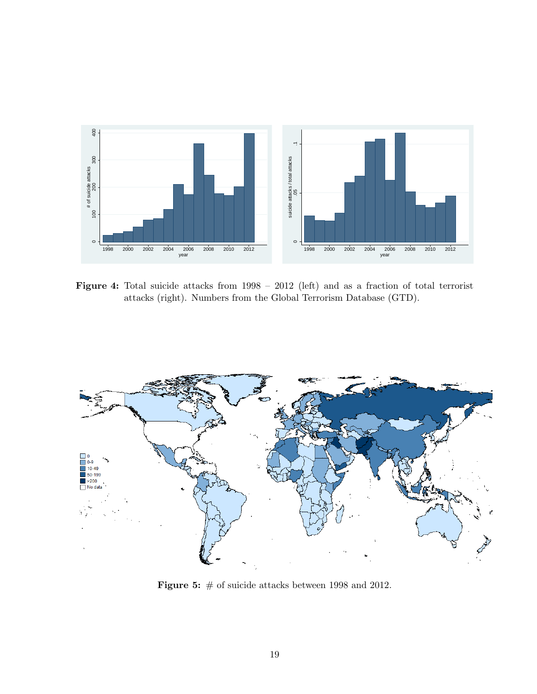<span id="page-21-0"></span>

Figure 4: Total suicide attacks from  $1998 - 2012$  (left) and as a fraction of total terrorist attacks (right). Numbers from the Global Terrorism Database (GTD).

<span id="page-21-1"></span>

Figure 5:  $\#$  of suicide attacks between 1998 and 2012.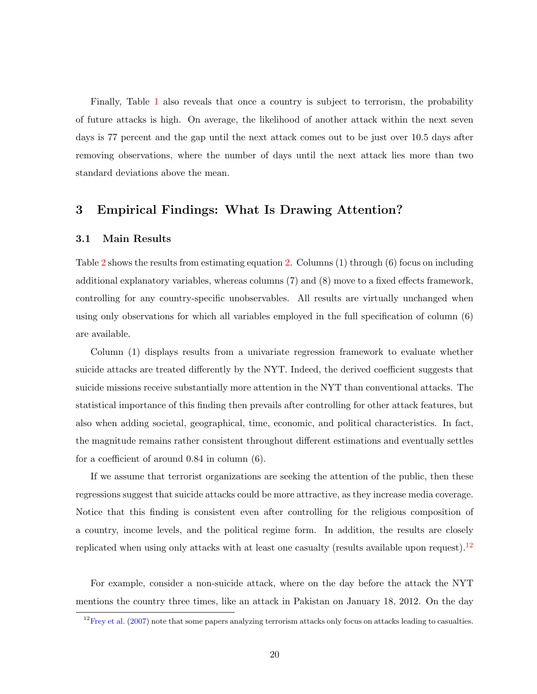Finally, Table [1](#page-19-0) also reveals that once a country is subject to terrorism, the probability of future attacks is high. On average, the likelihood of another attack within the next seven days is 77 percent and the gap until the next attack comes out to be just over 10.5 days after removing observations, where the number of days until the next attack lies more than two standard deviations above the mean.

### <span id="page-22-0"></span>3 Empirical Findings: What Is Drawing Attention?

#### 3.1 Main Results

Table [2](#page-23-0) shows the results from estimating equation [2.](#page-14-1) Columns (1) through (6) focus on including additional explanatory variables, whereas columns (7) and (8) move to a fixed effects framework, controlling for any country-specific unobservables. All results are virtually unchanged when using only observations for which all variables employed in the full specification of column (6) are available.

Column (1) displays results from a univariate regression framework to evaluate whether suicide attacks are treated differently by the NYT. Indeed, the derived coefficient suggests that suicide missions receive substantially more attention in the NYT than conventional attacks. The statistical importance of this finding then prevails after controlling for other attack features, but also when adding societal, geographical, time, economic, and political characteristics. In fact, the magnitude remains rather consistent throughout different estimations and eventually settles for a coefficient of around 0.84 in column (6).

If we assume that terrorist organizations are seeking the attention of the public, then these regressions suggest that suicide attacks could be more attractive, as they increase media coverage. Notice that this finding is consistent even after controlling for the religious composition of a country, income levels, and the political regime form. In addition, the results are closely replicated when using only attacks with at least one casualty (results available upon request).<sup>[12](#page-22-1)</sup>

For example, consider a non-suicide attack, where on the day before the attack the NYT mentions the country three times, like an attack in Pakistan on January 18, 2012. On the day

<span id="page-22-1"></span> $12$  [Frey et al.](#page-47-2) [\(2007\)](#page-47-2) note that some papers analyzing terrorism attacks only focus on attacks leading to casualties.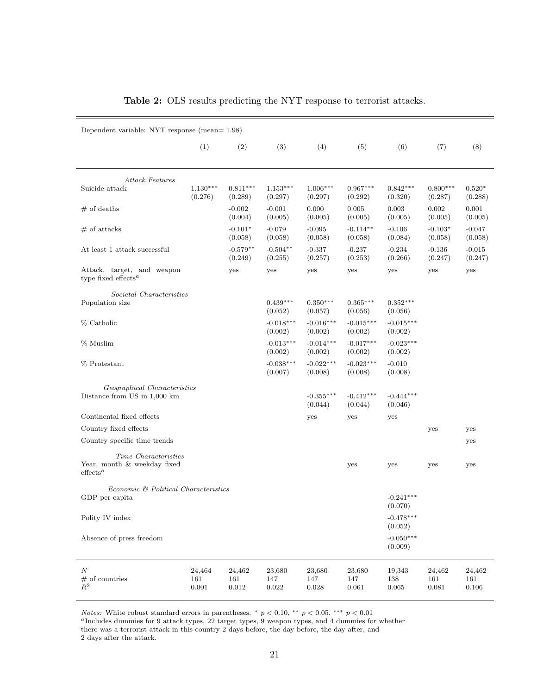<span id="page-23-0"></span>

| Dependent variable: NYT response (mean= $1.98$ )                           |                            |                            |                            |                              |                              |                                   |                              |                        |
|----------------------------------------------------------------------------|----------------------------|----------------------------|----------------------------|------------------------------|------------------------------|-----------------------------------|------------------------------|------------------------|
|                                                                            | (1)                        | (2)                        | (3)                        | (4)                          | (5)                          | (6)                               | (7)                          | (8)                    |
| <b>Attack Features</b>                                                     |                            |                            |                            |                              |                              |                                   |                              |                        |
| Suicide attack                                                             | $1.130***$<br>(0.276)      | $0.811***$<br>(0.289)      | $1.153***$<br>(0.297)      | $1.006***$<br>(0.297)        | $0.967***$<br>(0.292)        | $0.842***$<br>(0.320)             | $0.800***$<br>(0.287)        | $0.520*$<br>(0.288)    |
| $#$ of deaths                                                              |                            | $-0.002$<br>(0.004)        | $-0.001$<br>(0.005)        | 0.000<br>(0.005)             | 0.005<br>(0.005)             | 0.003<br>(0.005)                  | 0.002<br>(0.005)             | 0.001<br>(0.005)       |
| $#$ of attacks                                                             |                            | $-0.101*$<br>(0.058)       | $-0.079$<br>(0.058)        | $-0.095$<br>(0.058)          | $-0.114**$<br>(0.058)        | $-0.106$<br>(0.084)               | $-0.103*$<br>(0.058)         | $-0.047$<br>(0.058)    |
| At least 1 attack successful                                               |                            | $-0.579**$<br>(0.249)      | $-0.504**$<br>(0.255)      | $-0.337$<br>(0.257)          | $-0.237$<br>(0.253)          | $-0.234$<br>(0.266)               | $-0.136$<br>(0.247)          | $-0.015$<br>(0.247)    |
| Attack, target, and weapon<br>type fixed effects <sup><math>a</math></sup> |                            | yes                        | yes                        | yes                          | yes                          | yes                               | yes                          | yes                    |
| Societal Characteristics<br>Population size                                |                            |                            | $0.439***$<br>(0.052)      | $0.350***$<br>(0.057)        | $0.365***$<br>(0.056)        | $0.352***$<br>(0.056)             |                              |                        |
| % Catholic                                                                 |                            |                            | $-0.018***$<br>(0.002)     | $-0.016***$<br>(0.002)       | $-0.015***$<br>(0.002)       | $-0.015***$<br>(0.002)            |                              |                        |
| % Muslim                                                                   |                            |                            | $-0.013***$<br>(0.002)     | $-0.014***$<br>(0.002)       | $-0.017***$<br>(0.002)       | $-0.023***$<br>(0.002)            |                              |                        |
| % Protestant                                                               |                            |                            | $-0.038***$<br>(0.007)     | $-0.022***$<br>(0.008)       | $-0.023***$<br>(0.008)       | $-0.010$<br>(0.008)               |                              |                        |
| Geographical Characteristics<br>Distance from US in 1,000 km               |                            |                            |                            | $-0.355***$<br>(0.044)       | $-0.412***$<br>(0.044)       | $-0.444***$<br>(0.046)            |                              |                        |
| Continental fixed effects                                                  |                            |                            |                            | yes                          | yes                          | yes                               |                              |                        |
| Country fixed effects                                                      |                            |                            |                            |                              |                              |                                   | yes                          | yes                    |
| Country specific time trends                                               |                            |                            |                            |                              |                              |                                   |                              | yes                    |
| Time Characteristics<br>Year, month & weekday fixed<br>$\text{effects}^b$  |                            |                            |                            |                              | yes                          | yes                               | yes                          | yes                    |
| Economic & Political Characteristics<br>GDP per capita                     |                            |                            |                            |                              |                              | $-0.241***$                       |                              |                        |
| Polity IV index                                                            |                            |                            |                            |                              |                              | (0.070)<br>$-0.478***$<br>(0.052) |                              |                        |
| Absence of press freedom                                                   |                            |                            |                            |                              |                              | $-0.050***$<br>(0.009)            |                              |                        |
| $\cal N$<br>$#$ of countries<br>$R^2$                                      | 24,464<br>161<br>$0.001\,$ | 24,462<br>161<br>$0.012\,$ | 23,680<br>147<br>$0.022\,$ | 23,680<br>147<br>$\,0.028\,$ | 23,680<br>147<br>$\,0.061\,$ | 19,343<br>138<br>$\,0.065\,$      | 24,462<br>161<br>$\,0.081\,$ | 24,462<br>161<br>0.106 |

### Table 2: OLS results predicting the NYT response to terrorist attacks.

Notes: White robust standard errors in parentheses.  $*$   $p < 0.10$ ,  $**$   $p < 0.05$ ,  $***$   $p < 0.01$ 

<sup>a</sup>Includes dummies for 9 attack types,  $22$  target types,  $9$  weapon types, and 4 dummies for whether there was a terrorist attack in this country 2 days before, the day before, the day after, and 2 days after the attack.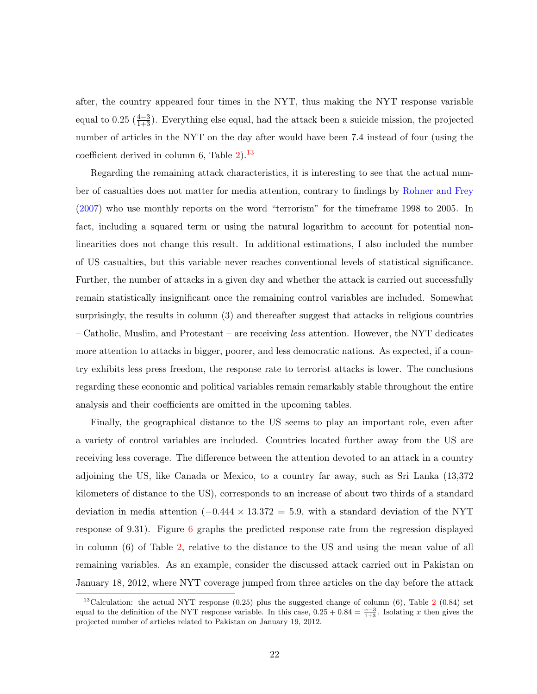after, the country appeared four times in the NYT, thus making the NYT response variable equal to 0.25  $(\frac{4-3}{1+3})$ . Everything else equal, had the attack been a suicide mission, the projected number of articles in the NYT on the day after would have been 7.4 instead of four (using the coefficient derived in column 6, Table  $2$ ).<sup>[13](#page-24-0)</sup>

Regarding the remaining attack characteristics, it is interesting to see that the actual number of casualties does not matter for media attention, contrary to findings by [Rohner and Frey](#page-50-3) [\(2007\)](#page-50-3) who use monthly reports on the word "terrorism" for the timeframe 1998 to 2005. In fact, including a squared term or using the natural logarithm to account for potential nonlinearities does not change this result. In additional estimations, I also included the number of US casualties, but this variable never reaches conventional levels of statistical significance. Further, the number of attacks in a given day and whether the attack is carried out successfully remain statistically insignificant once the remaining control variables are included. Somewhat surprisingly, the results in column (3) and thereafter suggest that attacks in religious countries – Catholic, Muslim, and Protestant – are receiving less attention. However, the NYT dedicates more attention to attacks in bigger, poorer, and less democratic nations. As expected, if a country exhibits less press freedom, the response rate to terrorist attacks is lower. The conclusions regarding these economic and political variables remain remarkably stable throughout the entire analysis and their coefficients are omitted in the upcoming tables.

Finally, the geographical distance to the US seems to play an important role, even after a variety of control variables are included. Countries located further away from the US are receiving less coverage. The difference between the attention devoted to an attack in a country adjoining the US, like Canada or Mexico, to a country far away, such as Sri Lanka (13,372 kilometers of distance to the US), corresponds to an increase of about two thirds of a standard deviation in media attention  $(-0.444 \times 13.372 = 5.9$ , with a standard deviation of the NYT response of 9.31). Figure [6](#page-25-0) graphs the predicted response rate from the regression displayed in column (6) of Table [2,](#page-23-0) relative to the distance to the US and using the mean value of all remaining variables. As an example, consider the discussed attack carried out in Pakistan on January 18, 2012, where NYT coverage jumped from three articles on the day before the attack

<span id="page-24-0"></span><sup>&</sup>lt;sup>13</sup>Calculation: the actual NYT response  $(0.25)$  $(0.25)$  $(0.25)$  plus the suggested change of column  $(6)$ , Table 2  $(0.84)$  set equal to the definition of the NYT response variable. In this case,  $0.25 + 0.84 = \frac{x-3}{1+3}$ . Isolating x then gives the projected number of articles related to Pakistan on January 19, 2012.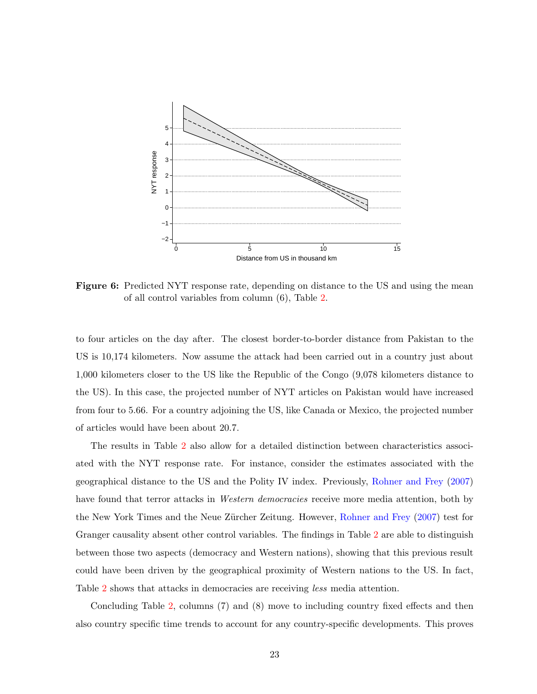<span id="page-25-0"></span>

Figure 6: Predicted NYT response rate, depending on distance to the US and using the mean of all control variables from column (6), Table [2.](#page-23-0)

to four articles on the day after. The closest border-to-border distance from Pakistan to the US is 10,174 kilometers. Now assume the attack had been carried out in a country just about 1,000 kilometers closer to the US like the Republic of the Congo (9,078 kilometers distance to the US). In this case, the projected number of NYT articles on Pakistan would have increased from four to 5.66. For a country adjoining the US, like Canada or Mexico, the projected number of articles would have been about 20.7.

The results in Table [2](#page-23-0) also allow for a detailed distinction between characteristics associated with the NYT response rate. For instance, consider the estimates associated with the geographical distance to the US and the Polity IV index. Previously, [Rohner and Frey](#page-50-3) [\(2007\)](#page-50-3) have found that terror attacks in *Western democracies* receive more media attention, both by the New York Times and the Neue Zürcher Zeitung. However, [Rohner and Frey](#page-50-3) [\(2007\)](#page-50-3) test for Granger causality absent other control variables. The findings in Table [2](#page-23-0) are able to distinguish between those two aspects (democracy and Western nations), showing that this previous result could have been driven by the geographical proximity of Western nations to the US. In fact, Table [2](#page-23-0) shows that attacks in democracies are receiving less media attention.

Concluding Table [2,](#page-23-0) columns (7) and (8) move to including country fixed effects and then also country specific time trends to account for any country-specific developments. This proves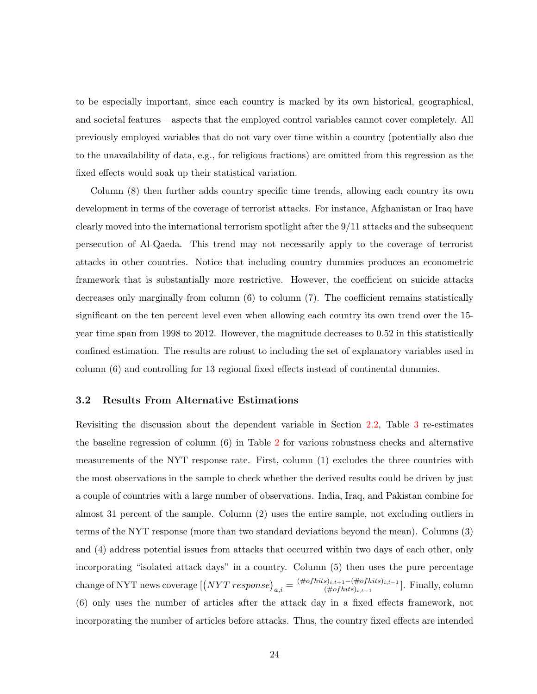to be especially important, since each country is marked by its own historical, geographical, and societal features – aspects that the employed control variables cannot cover completely. All previously employed variables that do not vary over time within a country (potentially also due to the unavailability of data, e.g., for religious fractions) are omitted from this regression as the fixed effects would soak up their statistical variation.

Column (8) then further adds country specific time trends, allowing each country its own development in terms of the coverage of terrorist attacks. For instance, Afghanistan or Iraq have clearly moved into the international terrorism spotlight after the 9/11 attacks and the subsequent persecution of Al-Qaeda. This trend may not necessarily apply to the coverage of terrorist attacks in other countries. Notice that including country dummies produces an econometric framework that is substantially more restrictive. However, the coefficient on suicide attacks decreases only marginally from column  $(6)$  to column  $(7)$ . The coefficient remains statistically significant on the ten percent level even when allowing each country its own trend over the 15 year time span from 1998 to 2012. However, the magnitude decreases to 0.52 in this statistically confined estimation. The results are robust to including the set of explanatory variables used in column (6) and controlling for 13 regional fixed effects instead of continental dummies.

#### 3.2 Results From Alternative Estimations

Revisiting the discussion about the dependent variable in Section [2.2,](#page-9-0) Table [3](#page-27-0) re-estimates the baseline regression of column (6) in Table [2](#page-23-0) for various robustness checks and alternative measurements of the NYT response rate. First, column (1) excludes the three countries with the most observations in the sample to check whether the derived results could be driven by just a couple of countries with a large number of observations. India, Iraq, and Pakistan combine for almost 31 percent of the sample. Column (2) uses the entire sample, not excluding outliers in terms of the NYT response (more than two standard deviations beyond the mean). Columns (3) and (4) address potential issues from attacks that occurred within two days of each other, only incorporating "isolated attack days" in a country. Column (5) then uses the pure percentage  $\text{change of NYT news coverage} \left[ \left( NYT \ response \right)_{a,i} = \frac{(\# of hits)_{i,t+1} - (\# of hits)_{i,t-1}}{(\# of hits)_{i,t-1}} \right]$  $\frac{(j_{i,t+1}-(\# of \textit{hits})_{i,t-1})}{(\# of \textit{hits})_{i,t-1}}$ . Finally, column (6) only uses the number of articles after the attack day in a fixed effects framework, not incorporating the number of articles before attacks. Thus, the country fixed effects are intended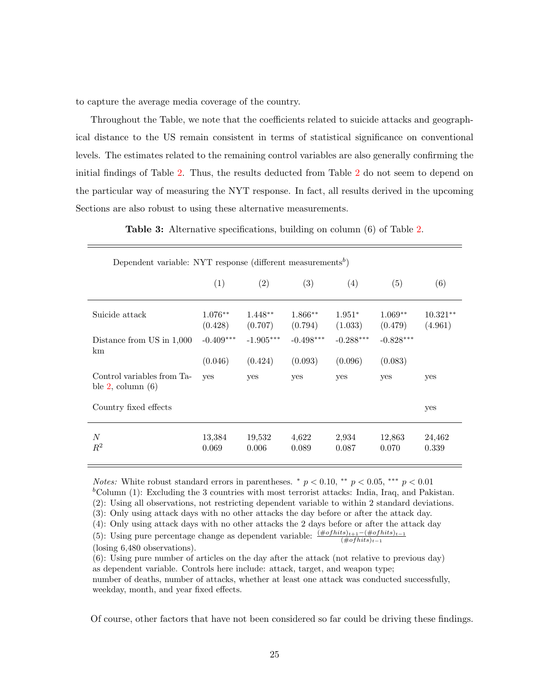to capture the average media coverage of the country.

Throughout the Table, we note that the coefficients related to suicide attacks and geographical distance to the US remain consistent in terms of statistical significance on conventional levels. The estimates related to the remaining control variables are also generally confirming the initial findings of Table [2.](#page-23-0) Thus, the results deducted from Table [2](#page-23-0) do not seem to depend on the particular way of measuring the NYT response. In fact, all results derived in the upcoming Sections are also robust to using these alternative measurements.

Table 3: Alternative specifications, building on column (6) of Table [2.](#page-23-0)

<span id="page-27-0"></span>

| Dependent variable: NYT response (different measurements <sup>b</sup> ) |                        |                        |                        |                        |                        |                       |
|-------------------------------------------------------------------------|------------------------|------------------------|------------------------|------------------------|------------------------|-----------------------|
|                                                                         | (1)                    | (2)                    | (3)                    | (4)                    | (5)                    | (6)                   |
| Suicide attack                                                          | $1.076**$<br>(0.428)   | $1.448**$<br>(0.707)   | $1.866**$<br>(0.794)   | $1.951*$<br>(1.033)    | $1.069**$<br>(0.479)   | $10.321**$<br>(4.961) |
| Distance from US in 1,000<br>km                                         | $-0.409***$<br>(0.046) | $-1.905***$<br>(0.424) | $-0.498***$<br>(0.093) | $-0.288***$<br>(0.096) | $-0.828***$<br>(0.083) |                       |
| Control variables from Ta-<br>ble $2$ , column $(6)$                    | yes                    | yes                    | yes                    | yes                    | yes                    | yes                   |
| Country fixed effects                                                   |                        |                        |                        |                        |                        | yes                   |
| $\boldsymbol{N}$<br>$\mathbb{R}^2$                                      | 13,384<br>0.069        | 19,532<br>0.006        | 4,622<br>0.089         | 2,934<br>0.087         | 12,863<br>0.070        | 24,462<br>0.339       |

*Notes:* White robust standard errors in parentheses.  $\binom{*}{r}$  p < 0.00, \*\*\* p < 0.01  $b_{\text{Column (1)}}$ : Excluding the 3 countries with most terrorist attacks: India, Iraq, and Pakistan. (2): Using all observations, not restricting dependent variable to within 2 standard deviations. (3): Only using attack days with no other attacks the day before or after the attack day. (4): Only using attack days with no other attacks the 2 days before or after the attack day (5): Using pure percentage change as dependent variable:  $\frac{(\# of hits)_{t+1} - (\# of hits)_{t-1}}{(\# of hits)_{t-1}}$ 

(losing 6,480 observations).

Of course, other factors that have not been considered so far could be driving these findings.

<sup>(6):</sup> Using pure number of articles on the day after the attack (not relative to previous day) as dependent variable. Controls here include: attack, target, and weapon type; number of deaths, number of attacks, whether at least one attack was conducted successfully, weekday, month, and year fixed effects.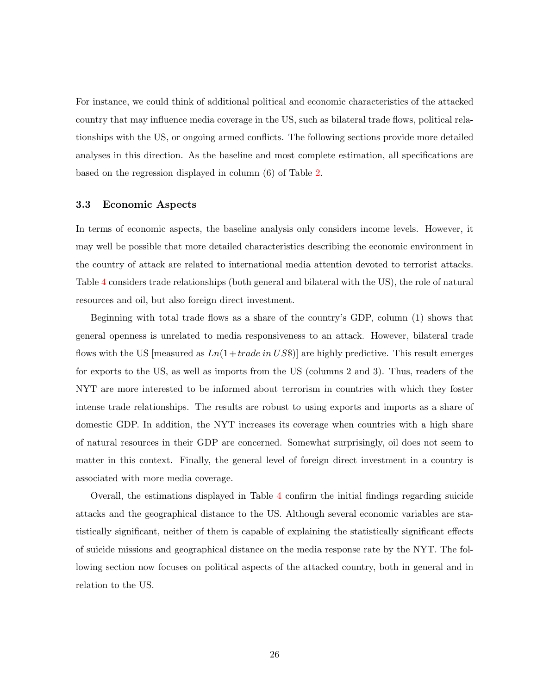For instance, we could think of additional political and economic characteristics of the attacked country that may influence media coverage in the US, such as bilateral trade flows, political relationships with the US, or ongoing armed conflicts. The following sections provide more detailed analyses in this direction. As the baseline and most complete estimation, all specifications are based on the regression displayed in column (6) of Table [2.](#page-23-0)

#### 3.3 Economic Aspects

In terms of economic aspects, the baseline analysis only considers income levels. However, it may well be possible that more detailed characteristics describing the economic environment in the country of attack are related to international media attention devoted to terrorist attacks. Table [4](#page-29-0) considers trade relationships (both general and bilateral with the US), the role of natural resources and oil, but also foreign direct investment.

Beginning with total trade flows as a share of the country's GDP, column (1) shows that general openness is unrelated to media responsiveness to an attack. However, bilateral trade flows with the US [measured as  $Ln(1+trade \ in \ US\$ )] are highly predictive. This result emerges for exports to the US, as well as imports from the US (columns 2 and 3). Thus, readers of the NYT are more interested to be informed about terrorism in countries with which they foster intense trade relationships. The results are robust to using exports and imports as a share of domestic GDP. In addition, the NYT increases its coverage when countries with a high share of natural resources in their GDP are concerned. Somewhat surprisingly, oil does not seem to matter in this context. Finally, the general level of foreign direct investment in a country is associated with more media coverage.

Overall, the estimations displayed in Table [4](#page-29-0) confirm the initial findings regarding suicide attacks and the geographical distance to the US. Although several economic variables are statistically significant, neither of them is capable of explaining the statistically significant effects of suicide missions and geographical distance on the media response rate by the NYT. The following section now focuses on political aspects of the attacked country, both in general and in relation to the US.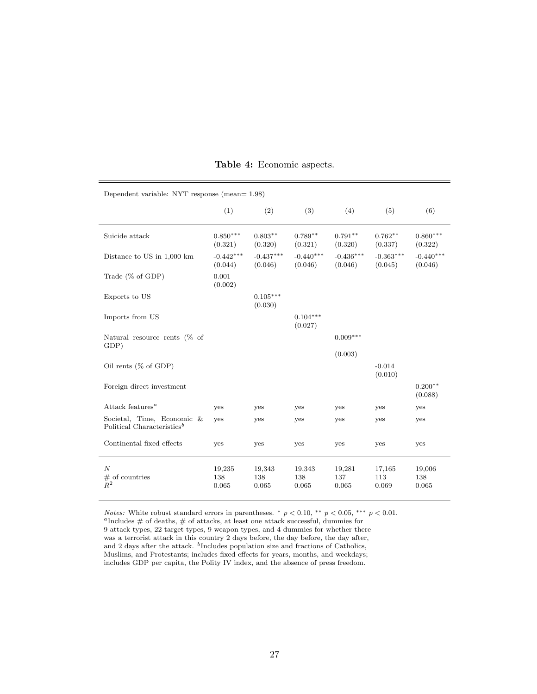<span id="page-29-0"></span>

| Dependent variable: NYT response (mean= $1.98$ )                     |                        |                        |                        |                        |                        |                        |  |
|----------------------------------------------------------------------|------------------------|------------------------|------------------------|------------------------|------------------------|------------------------|--|
|                                                                      | (1)                    | (2)                    | (3)                    | (4)                    | (5)                    | (6)                    |  |
| Suicide attack                                                       | $0.850***$<br>(0.321)  | $0.803**$<br>(0.320)   | $0.789**$<br>(0.321)   | $0.791**$<br>(0.320)   | $0.762**$<br>(0.337)   | $0.860***$<br>(0.322)  |  |
| Distance to US in 1,000 km                                           | $-0.442***$<br>(0.044) | $-0.437***$<br>(0.046) | $-0.440***$<br>(0.046) | $-0.436***$<br>(0.046) | $-0.363***$<br>(0.045) | $-0.440***$<br>(0.046) |  |
| Trade $(\%$ of GDP)                                                  | 0.001<br>(0.002)       |                        |                        |                        |                        |                        |  |
| Exports to US                                                        |                        | $0.105***$<br>(0.030)  |                        |                        |                        |                        |  |
| Imports from US                                                      |                        |                        | $0.104***$<br>(0.027)  |                        |                        |                        |  |
| Natural resource rents $(\%$ of<br>GDP)                              |                        |                        |                        | $0.009***$             |                        |                        |  |
| Oil rents $(\%$ of GDP)                                              |                        |                        |                        | (0.003)                | $-0.014$<br>(0.010)    |                        |  |
| Foreign direct investment                                            |                        |                        |                        |                        |                        | $0.200**$<br>(0.088)   |  |
| Attack features <sup>a</sup>                                         | yes                    | yes                    | yes                    | yes                    | yes                    | yes                    |  |
| Societal, Time, Economic &<br>Political Characteristics <sup>b</sup> | yes                    | yes                    | yes                    | yes                    | yes                    | yes                    |  |
| Continental fixed effects                                            | yes                    | yes                    | yes                    | yes                    | yes                    | yes                    |  |
| $\boldsymbol{N}$<br>$#$ of countries<br>$R^2$                        | 19,235<br>138<br>0.065 | 19,343<br>138<br>0.065 | 19,343<br>138<br>0.065 | 19,281<br>137<br>0.065 | 17,165<br>113<br>0.069 | 19,006<br>138<br>0.065 |  |

#### Table 4: Economic aspects.

*Notes:* White robust standard errors in parentheses. \*  $p < 0.10$ , \*\*  $p < 0.05$ , \*\*\*  $p < 0.01$ . <sup>a</sup>Includes  $#$  of deaths,  $#$  of attacks, at least one attack successful, dummies for 9 attack types, 22 target types, 9 weapon types, and 4 dummies for whether there was a terrorist attack in this country 2 days before, the day before, the day after, and 2 days after the attack. <sup>b</sup>Includes population size and fractions of Catholics, Muslims, and Protestants; includes fixed effects for years, months, and weekdays; includes GDP per capita, the Polity IV index, and the absence of press freedom.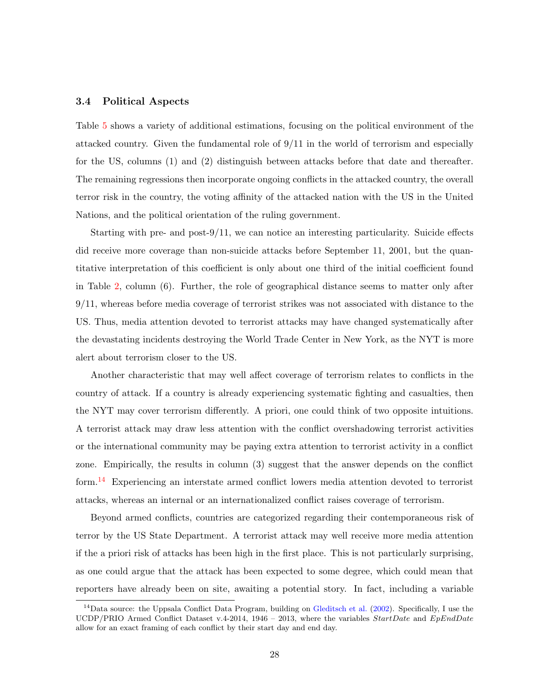#### 3.4 Political Aspects

Table [5](#page-31-0) shows a variety of additional estimations, focusing on the political environment of the attacked country. Given the fundamental role of 9/11 in the world of terrorism and especially for the US, columns (1) and (2) distinguish between attacks before that date and thereafter. The remaining regressions then incorporate ongoing conflicts in the attacked country, the overall terror risk in the country, the voting affinity of the attacked nation with the US in the United Nations, and the political orientation of the ruling government.

Starting with pre- and post-9/11, we can notice an interesting particularity. Suicide effects did receive more coverage than non-suicide attacks before September 11, 2001, but the quantitative interpretation of this coefficient is only about one third of the initial coefficient found in Table [2,](#page-23-0) column (6). Further, the role of geographical distance seems to matter only after 9/11, whereas before media coverage of terrorist strikes was not associated with distance to the US. Thus, media attention devoted to terrorist attacks may have changed systematically after the devastating incidents destroying the World Trade Center in New York, as the NYT is more alert about terrorism closer to the US.

Another characteristic that may well affect coverage of terrorism relates to conflicts in the country of attack. If a country is already experiencing systematic fighting and casualties, then the NYT may cover terrorism differently. A priori, one could think of two opposite intuitions. A terrorist attack may draw less attention with the conflict overshadowing terrorist activities or the international community may be paying extra attention to terrorist activity in a conflict zone. Empirically, the results in column (3) suggest that the answer depends on the conflict form.[14](#page-30-0) Experiencing an interstate armed conflict lowers media attention devoted to terrorist attacks, whereas an internal or an internationalized conflict raises coverage of terrorism.

Beyond armed conflicts, countries are categorized regarding their contemporaneous risk of terror by the US State Department. A terrorist attack may well receive more media attention if the a priori risk of attacks has been high in the first place. This is not particularly surprising, as one could argue that the attack has been expected to some degree, which could mean that reporters have already been on site, awaiting a potential story. In fact, including a variable

<span id="page-30-0"></span><sup>&</sup>lt;sup>14</sup>Data source: the Uppsala Conflict Data Program, building on [Gleditsch et al.](#page-48-10) [\(2002\)](#page-48-10). Specifically, I use the UCDP/PRIO Armed Conflict Dataset v.4-2014, 1946 – 2013, where the variables  $StartDate$  and  $EpEndDate$ allow for an exact framing of each conflict by their start day and end day.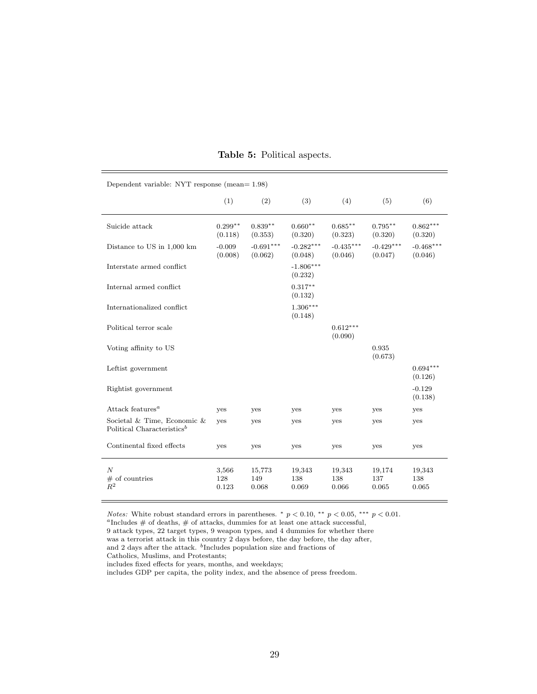<span id="page-31-0"></span>

| Dependent variable: NYT response (mean= 1.98)                         |                       |                        |                        |                        |                        |                        |  |  |
|-----------------------------------------------------------------------|-----------------------|------------------------|------------------------|------------------------|------------------------|------------------------|--|--|
|                                                                       | (1)                   | (2)                    | (3)                    | (4)                    | (5)                    | (6)                    |  |  |
| Suicide attack                                                        | $0.299**$<br>(0.118)  | $0.839**$<br>(0.353)   | $0.660**$<br>(0.320)   | $0.685**$<br>(0.323)   | $0.795***$<br>(0.320)  | $0.862***$<br>(0.320)  |  |  |
| Distance to US in 1,000 km                                            | $-0.009$<br>(0.008)   | $-0.691***$<br>(0.062) | $-0.282***$<br>(0.048) | $-0.435***$<br>(0.046) | $-0.429***$<br>(0.047) | $-0.468***$<br>(0.046) |  |  |
| Interstate armed conflict                                             |                       |                        | $-1.806***$<br>(0.232) |                        |                        |                        |  |  |
| Internal armed conflict                                               |                       |                        | $0.317**$<br>(0.132)   |                        |                        |                        |  |  |
| Internationalized conflict                                            |                       |                        | $1.306***$<br>(0.148)  |                        |                        |                        |  |  |
| Political terror scale                                                |                       |                        |                        | $0.612***$<br>(0.090)  |                        |                        |  |  |
| Voting affinity to US                                                 |                       |                        |                        |                        | 0.935<br>(0.673)       |                        |  |  |
| Leftist government                                                    |                       |                        |                        |                        |                        | $0.694***$<br>(0.126)  |  |  |
| Rightist government                                                   |                       |                        |                        |                        |                        | $-0.129$<br>(0.138)    |  |  |
| Attack features <sup><math>a</math></sup>                             | yes                   | yes                    | yes                    | yes                    | yes                    | yes                    |  |  |
| Societal & Time, Economic &<br>Political Characteristics <sup>b</sup> | yes                   | yes                    | yes                    | yes                    | yes                    | yes                    |  |  |
| Continental fixed effects                                             | yes                   | yes                    | yes                    | yes                    | yes                    | yes                    |  |  |
| $\boldsymbol{N}$<br>$#$ of countries<br>$R^2$                         | 3,566<br>128<br>0.123 | 15,773<br>149<br>0.068 | 19,343<br>138<br>0.069 | 19,343<br>138<br>0.066 | 19,174<br>137<br>0.065 | 19,343<br>138<br>0.065 |  |  |

#### Table 5: Political aspects.

Notes: White robust standard errors in parentheses.  $*$   $p < 0.10$ ,  $**$   $p < 0.05$ ,  $***$   $p < 0.01$ .

 ${}^a\mathrm{Includes}$  # of deaths, # of attacks, dummies for at least one attack successful,

9 attack types, 22 target types, 9 weapon types, and 4 dummies for whether there

was a terrorist attack in this country 2 days before, the day before, the day after,

and 2 days after the attack. <sup>b</sup>Includes population size and fractions of

Catholics, Muslims, and Protestants;

includes fixed effects for years, months, and weekdays;

includes GDP per capita, the polity index, and the absence of press freedom.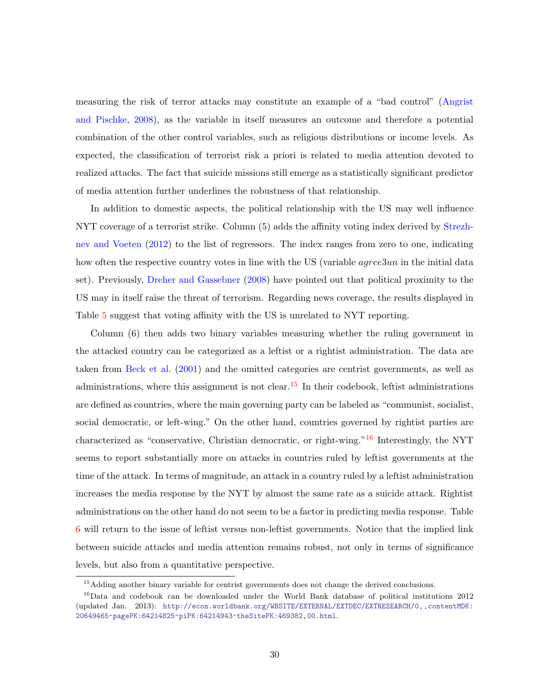measuring the risk of terror attacks may constitute an example of a "bad control" [\(Angrist](#page-46-9) [and Pischke,](#page-46-9) [2008\)](#page-46-9), as the variable in itself measures an outcome and therefore a potential combination of the other control variables, such as religious distributions or income levels. As expected, the classification of terrorist risk a priori is related to media attention devoted to realized attacks. The fact that suicide missions still emerge as a statistically significant predictor of media attention further underlines the robustness of that relationship.

In addition to domestic aspects, the political relationship with the US may well influence NYT coverage of a terrorist strike. Column (5) adds the affinity voting index derived by [Strezh](#page-50-9)[nev and Voeten](#page-50-9) [\(2012\)](#page-50-9) to the list of regressors. The index ranges from zero to one, indicating how often the respective country votes in line with the US (variable *agree3un* in the initial data set). Previously, [Dreher and Gassebner](#page-47-12) [\(2008\)](#page-47-12) have pointed out that political proximity to the US may in itself raise the threat of terrorism. Regarding news coverage, the results displayed in Table [5](#page-31-0) suggest that voting affinity with the US is unrelated to NYT reporting.

Column (6) then adds two binary variables measuring whether the ruling government in the attacked country can be categorized as a leftist or a rightist administration. The data are taken from [Beck et al.](#page-46-10) [\(2001\)](#page-46-10) and the omitted categories are centrist governments, as well as administrations, where this assignment is not clear.<sup>[15](#page-32-0)</sup> In their codebook, leftist administrations are defined as countries, where the main governing party can be labeled as "communist, socialist, social democratic, or left-wing." On the other hand, countries governed by rightist parties are characterized as "conservative, Christian democratic, or right-wing."[16](#page-32-1) Interestingly, the NYT seems to report substantially more on attacks in countries ruled by leftist governments at the time of the attack. In terms of magnitude, an attack in a country ruled by a leftist administration increases the media response by the NYT by almost the same rate as a suicide attack. Rightist administrations on the other hand do not seem to be a factor in predicting media response. Table [6](#page-34-0) will return to the issue of leftist versus non-leftist governments. Notice that the implied link between suicide attacks and media attention remains robust, not only in terms of significance levels, but also from a quantitative perspective.

<span id="page-32-1"></span><span id="page-32-0"></span><sup>&</sup>lt;sup>15</sup>Adding another binary variable for centrist governments does not change the derived conclusions.

<sup>16</sup>Data and codebook can be downloaded under the World Bank database of political institutions 2012 (updated Jan. 2013): [http://econ.worldbank.org/WBSITE/EXTERNAL/EXTDEC/EXTRESEARCH/0,,contentMDK:](http://econ.worldbank.org/WBSITE/EXTERNAL/EXTDEC/EXTRESEARCH/0,,contentMDK:20649465~pagePK:64214825~piPK:64214943~theSitePK:469382,00.html) [20649465~pagePK:64214825~piPK:64214943~theSitePK:469382,00.html](http://econ.worldbank.org/WBSITE/EXTERNAL/EXTDEC/EXTRESEARCH/0,,contentMDK:20649465~pagePK:64214825~piPK:64214943~theSitePK:469382,00.html).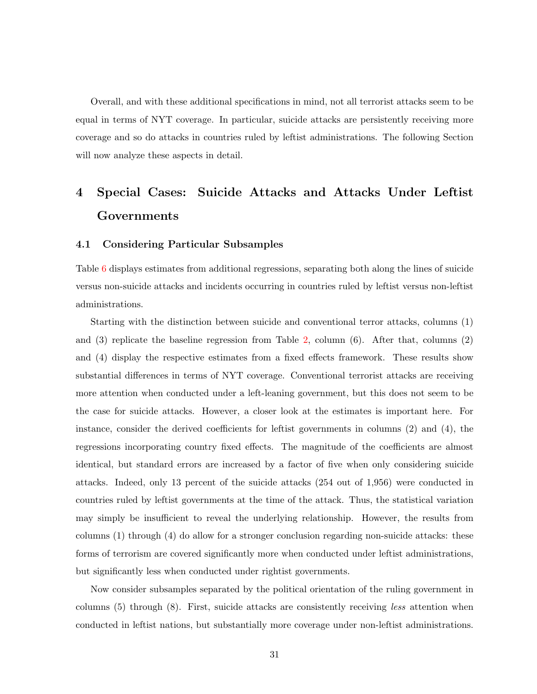Overall, and with these additional specifications in mind, not all terrorist attacks seem to be equal in terms of NYT coverage. In particular, suicide attacks are persistently receiving more coverage and so do attacks in countries ruled by leftist administrations. The following Section will now analyze these aspects in detail.

# <span id="page-33-0"></span>4 Special Cases: Suicide Attacks and Attacks Under Leftist Governments

#### 4.1 Considering Particular Subsamples

Table [6](#page-34-0) displays estimates from additional regressions, separating both along the lines of suicide versus non-suicide attacks and incidents occurring in countries ruled by leftist versus non-leftist administrations.

Starting with the distinction between suicide and conventional terror attacks, columns (1) and (3) replicate the baseline regression from Table [2,](#page-23-0) column (6). After that, columns (2) and (4) display the respective estimates from a fixed effects framework. These results show substantial differences in terms of NYT coverage. Conventional terrorist attacks are receiving more attention when conducted under a left-leaning government, but this does not seem to be the case for suicide attacks. However, a closer look at the estimates is important here. For instance, consider the derived coefficients for leftist governments in columns (2) and (4), the regressions incorporating country fixed effects. The magnitude of the coefficients are almost identical, but standard errors are increased by a factor of five when only considering suicide attacks. Indeed, only 13 percent of the suicide attacks (254 out of 1,956) were conducted in countries ruled by leftist governments at the time of the attack. Thus, the statistical variation may simply be insufficient to reveal the underlying relationship. However, the results from columns (1) through (4) do allow for a stronger conclusion regarding non-suicide attacks: these forms of terrorism are covered significantly more when conducted under leftist administrations, but significantly less when conducted under rightist governments.

Now consider subsamples separated by the political orientation of the ruling government in columns (5) through (8). First, suicide attacks are consistently receiving less attention when conducted in leftist nations, but substantially more coverage under non-leftist administrations.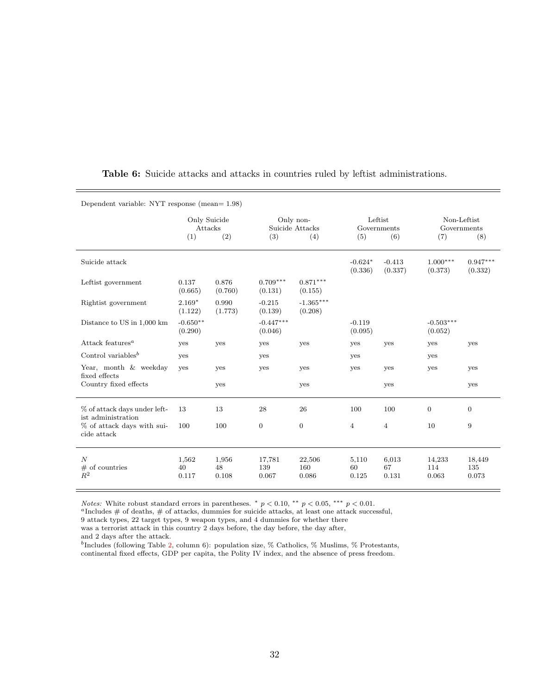| Dependent variable: NYT response (mean= 1.98)      |                                       |                      |                                            |                        |                                      |                      |                                          |                        |
|----------------------------------------------------|---------------------------------------|----------------------|--------------------------------------------|------------------------|--------------------------------------|----------------------|------------------------------------------|------------------------|
|                                                    | Only Suicide<br>Attacks<br>(2)<br>(1) |                      | Only non-<br>Suicide Attacks<br>(3)<br>(4) |                        | Leftist<br>Governments<br>(6)<br>(5) |                      | Non-Leftist<br>Governments<br>(8)<br>(7) |                        |
| Suicide attack                                     |                                       |                      |                                            |                        | $-0.624*$<br>(0.336)                 | $-0.413$<br>(0.337)  | $1.000***$<br>(0.373)                    | $0.947***$<br>(0.332)  |
| Leftist government                                 | 0.137<br>(0.665)                      | 0.876<br>(0.760)     | $0.709***$<br>(0.131)                      | $0.871***$<br>(0.155)  |                                      |                      |                                          |                        |
| Rightist government                                | $2.169*$<br>(1.122)                   | 0.990<br>(1.773)     | $-0.215$<br>(0.139)                        | $-1.365***$<br>(0.208) |                                      |                      |                                          |                        |
| Distance to US in 1,000 km                         | $-0.650**$<br>(0.290)                 |                      | $-0.447***$<br>(0.046)                     |                        | $-0.119$<br>(0.095)                  |                      | $-0.503***$<br>(0.052)                   |                        |
| Attack features <sup><math>a</math></sup>          | yes                                   | yes                  | yes                                        | yes                    | yes                                  | yes                  | yes                                      | yes                    |
| Control variables <sup>b</sup>                     | yes                                   |                      | yes                                        |                        | yes                                  |                      | yes                                      |                        |
| Year, month & weekday<br>fixed effects             | yes                                   | yes                  | yes                                        | yes                    | yes                                  | yes                  | yes                                      | yes                    |
| Country fixed effects                              |                                       | yes                  |                                            | yes                    |                                      | yes                  |                                          | yes                    |
| % of attack days under left-<br>ist administration | 13                                    | 13                   | 28                                         | 26                     | 100                                  | 100                  | $\overline{0}$                           | $\overline{0}$         |
| % of attack days with sui-<br>cide attack          | 100                                   | 100                  | $\overline{0}$                             | $\overline{0}$         | $\overline{4}$                       | $\overline{4}$       | 10                                       | 9                      |
| $\boldsymbol{N}$<br>$\#$ of countries<br>$R^2$     | 1,562<br>40<br>0.117                  | 1,956<br>48<br>0.108 | 17,781<br>139<br>0.067                     | 22,506<br>160<br>0.086 | 5,110<br>60<br>0.125                 | 6,013<br>67<br>0.131 | 14,233<br>114<br>0.063                   | 18,449<br>135<br>0.073 |

#### <span id="page-34-0"></span>Table 6: Suicide attacks and attacks in countries ruled by leftist administrations.

Notes: White robust standard errors in parentheses.  $*$   $p < 0.10$ ,  $*$   $p < 0.05$ ,  $**$   $p < 0.01$ .

<sup>a</sup>Includes # of deaths, # of attacks, dummies for suicide attacks, at least one attack successful,

9 attack types, 22 target types, 9 weapon types, and 4 dummies for whether there

was a terrorist attack in this country 2 days before, the day before, the day after,

and 2 days after the attack.

<sup>b</sup>Includes (following Table [2,](#page-23-0) column 6): population size,  $%$  Catholics,  $%$  Muslims,  $%$  Protestants, continental fixed effects, GDP per capita, the Polity IV index, and the absence of press freedom.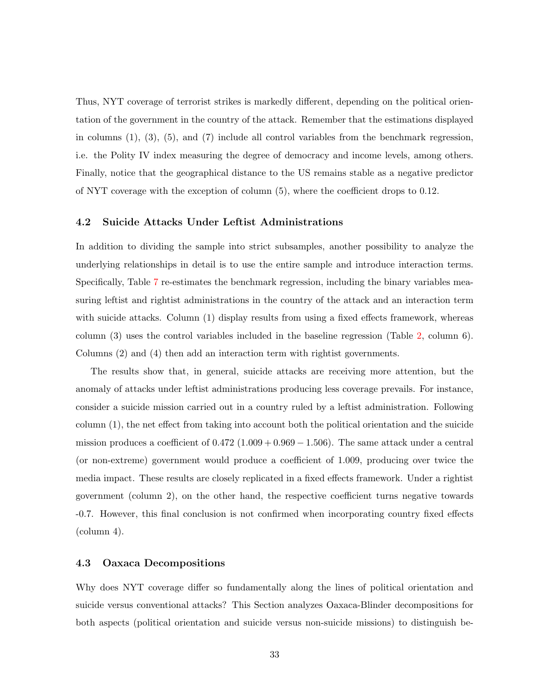Thus, NYT coverage of terrorist strikes is markedly different, depending on the political orientation of the government in the country of the attack. Remember that the estimations displayed in columns  $(1)$ ,  $(3)$ ,  $(5)$ , and  $(7)$  include all control variables from the benchmark regression, i.e. the Polity IV index measuring the degree of democracy and income levels, among others. Finally, notice that the geographical distance to the US remains stable as a negative predictor of NYT coverage with the exception of column (5), where the coefficient drops to 0.12.

#### 4.2 Suicide Attacks Under Leftist Administrations

In addition to dividing the sample into strict subsamples, another possibility to analyze the underlying relationships in detail is to use the entire sample and introduce interaction terms. Specifically, Table [7](#page-36-0) re-estimates the benchmark regression, including the binary variables measuring leftist and rightist administrations in the country of the attack and an interaction term with suicide attacks. Column (1) display results from using a fixed effects framework, whereas column (3) uses the control variables included in the baseline regression (Table [2,](#page-23-0) column 6). Columns (2) and (4) then add an interaction term with rightist governments.

The results show that, in general, suicide attacks are receiving more attention, but the anomaly of attacks under leftist administrations producing less coverage prevails. For instance, consider a suicide mission carried out in a country ruled by a leftist administration. Following column (1), the net effect from taking into account both the political orientation and the suicide mission produces a coefficient of  $0.472$  (1.009 + 0.969 – 1.506). The same attack under a central (or non-extreme) government would produce a coefficient of 1.009, producing over twice the media impact. These results are closely replicated in a fixed effects framework. Under a rightist government (column 2), on the other hand, the respective coefficient turns negative towards -0.7. However, this final conclusion is not confirmed when incorporating country fixed effects (column 4).

#### 4.3 Oaxaca Decompositions

Why does NYT coverage differ so fundamentally along the lines of political orientation and suicide versus conventional attacks? This Section analyzes Oaxaca-Blinder decompositions for both aspects (political orientation and suicide versus non-suicide missions) to distinguish be-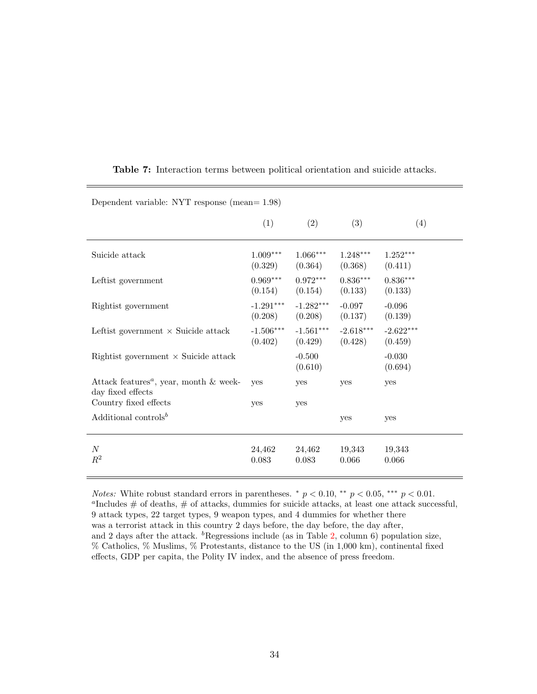| Dependent variable: NYT response (mean= $1.98$ )                               |                        |                        |                        |                        |  |  |  |  |
|--------------------------------------------------------------------------------|------------------------|------------------------|------------------------|------------------------|--|--|--|--|
|                                                                                | (1)                    | (2)                    | (3)                    | (4)                    |  |  |  |  |
| Suicide attack                                                                 | $1.009***$<br>(0.329)  | $1.066***$<br>(0.364)  | $1.248***$<br>(0.368)  | $1.252***$<br>(0.411)  |  |  |  |  |
| Leftist government                                                             | $0.969***$<br>(0.154)  | $0.972***$<br>(0.154)  | $0.836***$<br>(0.133)  | $0.836***$<br>(0.133)  |  |  |  |  |
| Rightist government                                                            | $-1.291***$<br>(0.208) | $-1.282***$<br>(0.208) | $-0.097$<br>(0.137)    | $-0.096$<br>(0.139)    |  |  |  |  |
| Leftist government $\times$ Suicide attack                                     | $-1.506***$<br>(0.402) | $-1.561***$<br>(0.429) | $-2.618***$<br>(0.428) | $-2.622***$<br>(0.459) |  |  |  |  |
| Rightist government $\times$ Suicide attack                                    |                        | $-0.500$<br>(0.610)    |                        | $-0.030$<br>(0.694)    |  |  |  |  |
| Attack features <sup><i>a</i></sup> , year, month & week-<br>day fixed effects | <b>ves</b>             | yes                    | yes                    | yes                    |  |  |  |  |
| Country fixed effects                                                          | yes                    | yes                    |                        |                        |  |  |  |  |
| Additional controls <sup>b</sup>                                               |                        |                        | yes                    | yes                    |  |  |  |  |
| $\boldsymbol{N}$<br>$R^2$                                                      | 24,462<br>0.083        | 24,462<br>0.083        | 19,343<br>0.066        | 19,343<br>0.066        |  |  |  |  |

<span id="page-36-0"></span>Table 7: Interaction terms between political orientation and suicide attacks.

*Notes:* White robust standard errors in parentheses.  $*$   $p < 0.10$ ,  $**$   $p < 0.05$ ,  $***$   $p < 0.01$ . <sup>a</sup>Includes  $\#$  of deaths,  $\#$  of attacks, dummies for suicide attacks, at least one attack successful, 9 attack types, 22 target types, 9 weapon types, and 4 dummies for whether there was a terrorist attack in this country 2 days before, the day before, the day after, and 2 days after the attack.  ${}^{b}$ Regressions include (as in Table [2,](#page-23-0) column 6) population size, % Catholics, % Muslims, % Protestants, distance to the US (in 1,000 km), continental fixed effects, GDP per capita, the Polity IV index, and the absence of press freedom.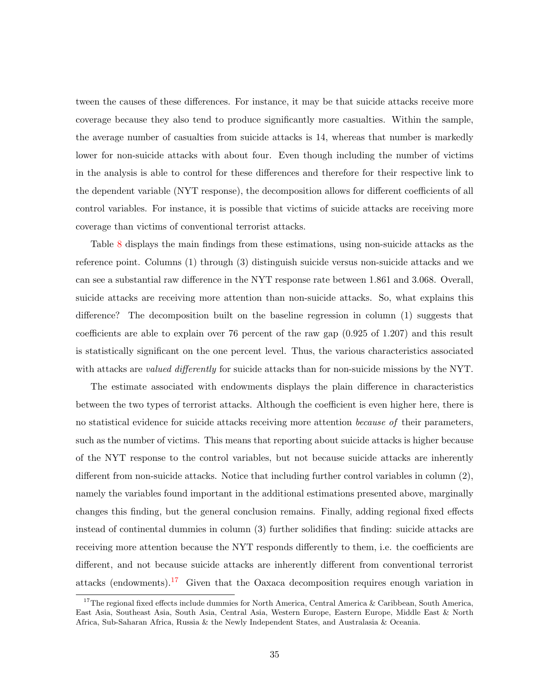tween the causes of these differences. For instance, it may be that suicide attacks receive more coverage because they also tend to produce significantly more casualties. Within the sample, the average number of casualties from suicide attacks is 14, whereas that number is markedly lower for non-suicide attacks with about four. Even though including the number of victims in the analysis is able to control for these differences and therefore for their respective link to the dependent variable (NYT response), the decomposition allows for different coefficients of all control variables. For instance, it is possible that victims of suicide attacks are receiving more coverage than victims of conventional terrorist attacks.

Table [8](#page-39-0) displays the main findings from these estimations, using non-suicide attacks as the reference point. Columns (1) through (3) distinguish suicide versus non-suicide attacks and we can see a substantial raw difference in the NYT response rate between 1.861 and 3.068. Overall, suicide attacks are receiving more attention than non-suicide attacks. So, what explains this difference? The decomposition built on the baseline regression in column (1) suggests that coefficients are able to explain over 76 percent of the raw gap (0.925 of 1.207) and this result is statistically significant on the one percent level. Thus, the various characteristics associated with attacks are *valued differently* for suicide attacks than for non-suicide missions by the NYT.

The estimate associated with endowments displays the plain difference in characteristics between the two types of terrorist attacks. Although the coefficient is even higher here, there is no statistical evidence for suicide attacks receiving more attention *because of* their parameters, such as the number of victims. This means that reporting about suicide attacks is higher because of the NYT response to the control variables, but not because suicide attacks are inherently different from non-suicide attacks. Notice that including further control variables in column (2), namely the variables found important in the additional estimations presented above, marginally changes this finding, but the general conclusion remains. Finally, adding regional fixed effects instead of continental dummies in column (3) further solidifies that finding: suicide attacks are receiving more attention because the NYT responds differently to them, i.e. the coefficients are different, and not because suicide attacks are inherently different from conventional terrorist attacks (endowments).<sup>[17](#page-37-0)</sup> Given that the Oaxaca decomposition requires enough variation in

<span id="page-37-0"></span><sup>&</sup>lt;sup>17</sup>The regional fixed effects include dummies for North America, Central America & Caribbean, South America, East Asia, Southeast Asia, South Asia, Central Asia, Western Europe, Eastern Europe, Middle East & North Africa, Sub-Saharan Africa, Russia & the Newly Independent States, and Australasia & Oceania.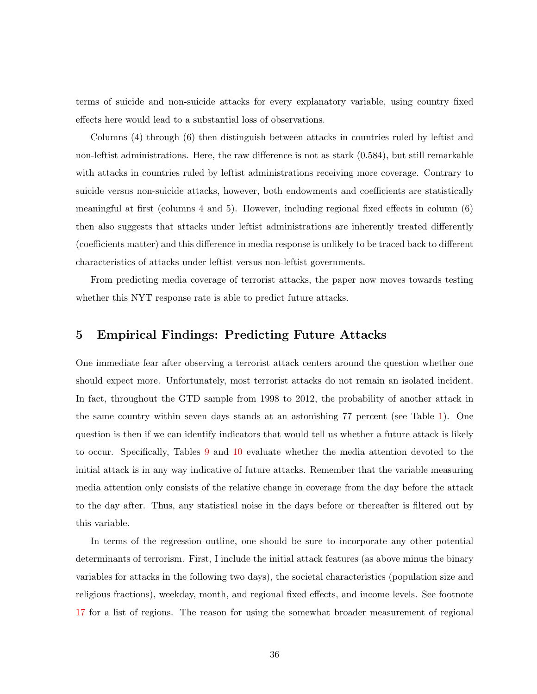terms of suicide and non-suicide attacks for every explanatory variable, using country fixed effects here would lead to a substantial loss of observations.

Columns (4) through (6) then distinguish between attacks in countries ruled by leftist and non-leftist administrations. Here, the raw difference is not as stark (0.584), but still remarkable with attacks in countries ruled by leftist administrations receiving more coverage. Contrary to suicide versus non-suicide attacks, however, both endowments and coefficients are statistically meaningful at first (columns 4 and 5). However, including regional fixed effects in column (6) then also suggests that attacks under leftist administrations are inherently treated differently (coefficients matter) and this difference in media response is unlikely to be traced back to different characteristics of attacks under leftist versus non-leftist governments.

From predicting media coverage of terrorist attacks, the paper now moves towards testing whether this NYT response rate is able to predict future attacks.

### <span id="page-38-0"></span>5 Empirical Findings: Predicting Future Attacks

One immediate fear after observing a terrorist attack centers around the question whether one should expect more. Unfortunately, most terrorist attacks do not remain an isolated incident. In fact, throughout the GTD sample from 1998 to 2012, the probability of another attack in the same country within seven days stands at an astonishing 77 percent (see Table [1\)](#page-19-0). One question is then if we can identify indicators that would tell us whether a future attack is likely to occur. Specifically, Tables [9](#page-41-0) and [10](#page-43-0) evaluate whether the media attention devoted to the initial attack is in any way indicative of future attacks. Remember that the variable measuring media attention only consists of the relative change in coverage from the day before the attack to the day after. Thus, any statistical noise in the days before or thereafter is filtered out by this variable.

In terms of the regression outline, one should be sure to incorporate any other potential determinants of terrorism. First, I include the initial attack features (as above minus the binary variables for attacks in the following two days), the societal characteristics (population size and religious fractions), weekday, month, and regional fixed effects, and income levels. See footnote [17](#page-37-0) for a list of regions. The reason for using the somewhat broader measurement of regional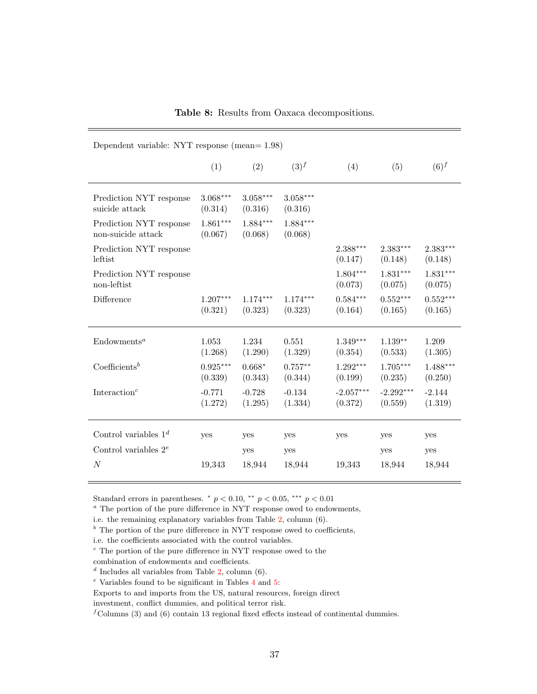<span id="page-39-0"></span>

| Dependent variable: NYT response (mean= $1.98$ ) |                       |                       |                       |                        |                        |                       |  |
|--------------------------------------------------|-----------------------|-----------------------|-----------------------|------------------------|------------------------|-----------------------|--|
|                                                  | (1)                   | (2)                   | $(3)^f$               | (4)                    | (5)                    | $(6)^f$               |  |
| Prediction NYT response<br>suicide attack        | $3.068***$<br>(0.314) | $3.058***$<br>(0.316) | $3.058***$<br>(0.316) |                        |                        |                       |  |
| Prediction NYT response<br>non-suicide attack    | $1.861***$<br>(0.067) | $1.884***$<br>(0.068) | $1.884***$<br>(0.068) |                        |                        |                       |  |
| Prediction NYT response<br>leftist               |                       |                       |                       | $2.388***$<br>(0.147)  | $2.383***$<br>(0.148)  | $2.383***$<br>(0.148) |  |
| Prediction NYT response<br>non-leftist           |                       |                       |                       | $1.804***$<br>(0.073)  | $1.831***$<br>(0.075)  | $1.831***$<br>(0.075) |  |
| Difference                                       | $1.207***$<br>(0.321) | $1.174***$<br>(0.323) | $1.174***$<br>(0.323) | $0.584***$<br>(0.164)  | $0.552***$<br>(0.165)  | $0.552***$<br>(0.165) |  |
| Endowments <sup>a</sup>                          | 1.053<br>(1.268)      | 1.234<br>(1.290)      | 0.551<br>(1.329)      | $1.349***$<br>(0.354)  | $1.139**$<br>(0.533)   | 1.209<br>(1.305)      |  |
| $\text{Coefficients}^b$                          | $0.925***$<br>(0.339) | $0.668*$<br>(0.343)   | $0.757**$<br>(0.344)  | $1.292***$<br>(0.199)  | $1.705***$<br>(0.235)  | $1.488***$<br>(0.250) |  |
| Interaction <sup><math>c</math></sup>            | $-0.771$<br>(1.272)   | $-0.728$<br>(1.295)   | $-0.134$<br>(1.334)   | $-2.057***$<br>(0.372) | $-2.292***$<br>(0.559) | $-2.144$<br>(1.319)   |  |
| Control variables $1^d$                          | yes                   | yes                   | yes                   | yes                    | yes                    | yes                   |  |
| Control variables $2^e$                          |                       | yes                   | yes                   |                        | yes                    | yes                   |  |
| $\boldsymbol{N}$                                 | 19,343                | 18,944                | 18,944                | 19,343                 | 18,944                 | 18,944                |  |

Table 8: Results from Oaxaca decompositions.

Standard errors in parentheses.  $*$   $p < 0.10$ ,  $**$   $p < 0.05$ ,  $**$   $p < 0.01$ 

<sup>a</sup> The portion of the pure difference in NYT response owed to endowments,

i.e. the remaining explanatory variables from Table [2,](#page-23-0) column (6).

 $<sup>b</sup>$  The portion of the pure difference in NYT response owed to coefficients,</sup>

 $\degree$  The portion of the pure difference in NYT response owed to the

Exports to and imports from the US, natural resources, foreign direct

investment, conflict dummies, and political terror risk.

 ${}^f$ Columns (3) and (6) contain 13 regional fixed effects instead of continental dummies.

i.e. the coefficients associated with the control variables.

combination of endowments and coefficients.

 $d$  Includes all variables from Table [2,](#page-23-0) column (6).

 $^e$  Variables found to be significant in Tables [4](#page-29-0) and [5:](#page-31-0)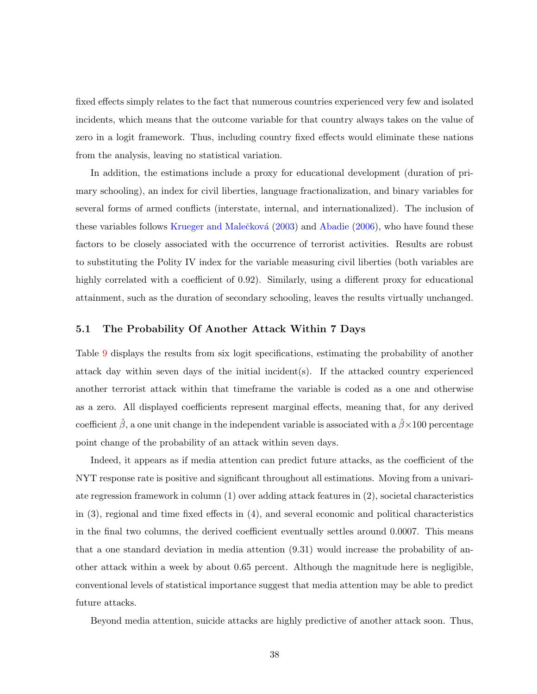fixed effects simply relates to the fact that numerous countries experienced very few and isolated incidents, which means that the outcome variable for that country always takes on the value of zero in a logit framework. Thus, including country fixed effects would eliminate these nations from the analysis, leaving no statistical variation.

In addition, the estimations include a proxy for educational development (duration of primary schooling), an index for civil liberties, language fractionalization, and binary variables for several forms of armed conflicts (interstate, internal, and internationalized). The inclusion of these variables follows Krueger and Malečková  $(2003)$  and [Abadie](#page-46-3)  $(2006)$ , who have found these factors to be closely associated with the occurrence of terrorist activities. Results are robust to substituting the Polity IV index for the variable measuring civil liberties (both variables are highly correlated with a coefficient of 0.92). Similarly, using a different proxy for educational attainment, such as the duration of secondary schooling, leaves the results virtually unchanged.

#### 5.1 The Probability Of Another Attack Within 7 Days

Table [9](#page-41-0) displays the results from six logit specifications, estimating the probability of another attack day within seven days of the initial incident(s). If the attacked country experienced another terrorist attack within that timeframe the variable is coded as a one and otherwise as a zero. All displayed coefficients represent marginal effects, meaning that, for any derived coefficient  $\hat{\beta}$ , a one unit change in the independent variable is associated with a  $\hat{\beta} \times 100$  percentage point change of the probability of an attack within seven days.

Indeed, it appears as if media attention can predict future attacks, as the coefficient of the NYT response rate is positive and significant throughout all estimations. Moving from a univariate regression framework in column (1) over adding attack features in (2), societal characteristics in (3), regional and time fixed effects in (4), and several economic and political characteristics in the final two columns, the derived coefficient eventually settles around 0.0007. This means that a one standard deviation in media attention (9.31) would increase the probability of another attack within a week by about 0.65 percent. Although the magnitude here is negligible, conventional levels of statistical importance suggest that media attention may be able to predict future attacks.

Beyond media attention, suicide attacks are highly predictive of another attack soon. Thus,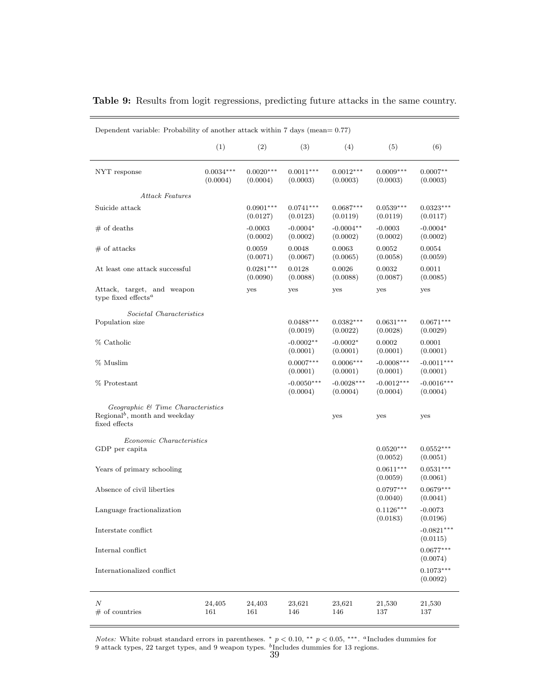<span id="page-41-0"></span>

|  |  |  |  | <b>Table 9:</b> Results from logit regressions, predicting future attacks in the same country. |  |  |  |  |  |  |  |  |
|--|--|--|--|------------------------------------------------------------------------------------------------|--|--|--|--|--|--|--|--|
|--|--|--|--|------------------------------------------------------------------------------------------------|--|--|--|--|--|--|--|--|

|                                                                                                 | (1)                     | (2)                     | (3)                      | (4)                      | (5)                      | (6)                      |
|-------------------------------------------------------------------------------------------------|-------------------------|-------------------------|--------------------------|--------------------------|--------------------------|--------------------------|
| NYT response                                                                                    | $0.0034***$<br>(0.0004) | $0.0020***$<br>(0.0004) | $0.0011***$<br>(0.0003)  | $0.0012***$<br>(0.0003)  | $0.0009***$<br>(0.0003)  | $0.0007**$<br>(0.0003)   |
| Attack Features                                                                                 |                         |                         |                          |                          |                          |                          |
| Suicide attack                                                                                  |                         | $0.0901***$<br>(0.0127) | $0.0741***$<br>(0.0123)  | $0.0687***$<br>(0.0119)  | $0.0539***$<br>(0.0119)  | $0.0323***$<br>(0.0117)  |
| $#$ of deaths                                                                                   |                         | $-0.0003$<br>(0.0002)   | $-0.0004*$<br>(0.0002)   | $-0.0004**$<br>(0.0002)  | $-0.0003$<br>(0.0002)    | $-0.0004*$<br>(0.0002)   |
| $#$ of attacks                                                                                  |                         | 0.0059<br>(0.0071)      | 0.0048<br>(0.0067)       | 0.0063<br>(0.0065)       | 0.0052<br>(0.0058)       | 0.0054<br>(0.0059)       |
| At least one attack successful                                                                  |                         | $0.0281***$<br>(0.0090) | 0.0128<br>(0.0088)       | 0.0026<br>(0.0088)       | 0.0032<br>(0.0087)       | 0.0011<br>(0.0085)       |
| Attack, target, and weapon<br>type fixed effects <sup><math>a</math></sup>                      |                         | yes                     | yes                      | yes                      | yes                      | yes                      |
| Societal Characteristics                                                                        |                         |                         |                          |                          |                          |                          |
| Population size                                                                                 |                         |                         | $0.0488***$<br>(0.0019)  | $0.0382***$<br>(0.0022)  | $0.0631***$<br>(0.0028)  | $0.0671***$<br>(0.0029)  |
| % Catholic                                                                                      |                         |                         | $-0.0002**$<br>(0.0001)  | $-0.0002*$<br>(0.0001)   | 0.0002<br>(0.0001)       | 0.0001<br>(0.0001)       |
| % Muslim                                                                                        |                         |                         | $0.0007***$<br>(0.0001)  | $0.0006***$<br>(0.0001)  | $-0.0008***$<br>(0.0001) | $-0.0011***$<br>(0.0001) |
| % Protestant                                                                                    |                         |                         | $-0.0050***$<br>(0.0004) | $-0.0028***$<br>(0.0004) | $-0.0012***$<br>(0.0004) | $-0.0016***$<br>(0.0004) |
| Geographic & Time Characteristics<br>Regional <sup>b</sup> , month and weekday<br>fixed effects |                         |                         |                          | yes                      | yes                      | yes                      |
| Economic Characteristics                                                                        |                         |                         |                          |                          |                          |                          |
| GDP per capita                                                                                  |                         |                         |                          |                          | $0.0520***$<br>(0.0052)  | $0.0552***$<br>(0.0051)  |
| Years of primary schooling                                                                      |                         |                         |                          |                          | $0.0611***$<br>(0.0059)  | $0.0531***$<br>(0.0061)  |
| Absence of civil liberties                                                                      |                         |                         |                          |                          | $0.0797***$<br>(0.0040)  | $0.0679***$<br>(0.0041)  |
| Language fractionalization                                                                      |                         |                         |                          |                          | $0.1126***$<br>(0.0183)  | $-0.0073$<br>(0.0196)    |
| Interstate conflict                                                                             |                         |                         |                          |                          |                          | $-0.0821***$<br>(0.0115) |
| Internal conflict                                                                               |                         |                         |                          |                          |                          | $0.0677***$<br>(0.0074)  |
| Internationalized conflict                                                                      |                         |                         |                          |                          |                          | $0.1073***$<br>(0.0092)  |
| $\boldsymbol{N}$<br>$#$ of countries                                                            | 24,405<br>161           | 24,403<br>161           | 23,621<br>146            | 23,621<br>146            | 21,530<br>137            | 21,530<br>137            |

Dependent variable: Probability of another attack within 7 days (mean= 0.77)

*Notes:* White robust standard errors in parentheses. \*  $p < 0.10$ , \*\*  $p < 0.05$ , \*\*\*. <sup>a</sup>Includes dummies for 9 attack types, 22 target types, and 9 weapon types.  $\frac{b_{\mbox{Includes}}}{39}$  dummies for 13 regions.

 $\overline{a}$ 

 $\overline{\phantom{0}}$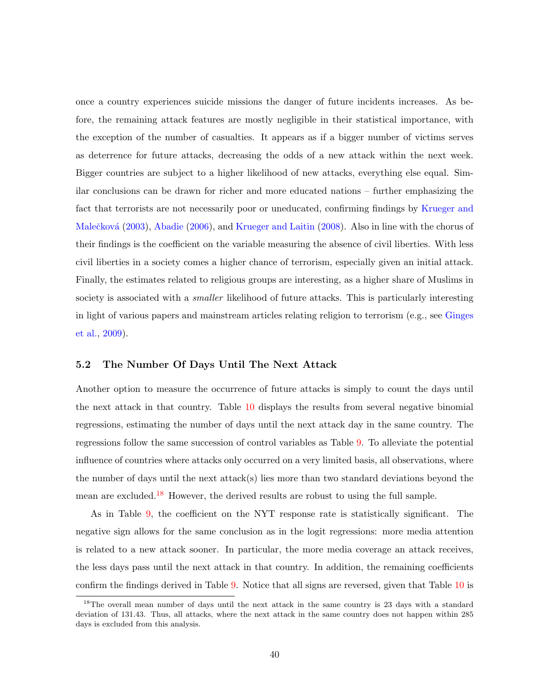once a country experiences suicide missions the danger of future incidents increases. As before, the remaining attack features are mostly negligible in their statistical importance, with the exception of the number of casualties. It appears as if a bigger number of victims serves as deterrence for future attacks, decreasing the odds of a new attack within the next week. Bigger countries are subject to a higher likelihood of new attacks, everything else equal. Similar conclusions can be drawn for richer and more educated nations – further emphasizing the fact that terrorists are not necessarily poor or uneducated, confirming findings by [Krueger and](#page-49-3) Malečková [\(2003\)](#page-49-3), [Abadie](#page-46-3) [\(2006\)](#page-46-3), and [Krueger and Laitin](#page-49-5) [\(2008\)](#page-49-5). Also in line with the chorus of their findings is the coefficient on the variable measuring the absence of civil liberties. With less civil liberties in a society comes a higher chance of terrorism, especially given an initial attack. Finally, the estimates related to religious groups are interesting, as a higher share of Muslims in society is associated with a *smaller* likelihood of future attacks. This is particularly interesting in light of various papers and mainstream articles relating religion to terrorism (e.g., see [Ginges](#page-48-11) [et al.,](#page-48-11) [2009\)](#page-48-11).

#### 5.2 The Number Of Days Until The Next Attack

Another option to measure the occurrence of future attacks is simply to count the days until the next attack in that country. Table [10](#page-43-0) displays the results from several negative binomial regressions, estimating the number of days until the next attack day in the same country. The regressions follow the same succession of control variables as Table [9.](#page-41-0) To alleviate the potential influence of countries where attacks only occurred on a very limited basis, all observations, where the number of days until the next attack(s) lies more than two standard deviations beyond the mean are excluded.[18](#page-42-0) However, the derived results are robust to using the full sample.

As in Table [9,](#page-41-0) the coefficient on the NYT response rate is statistically significant. The negative sign allows for the same conclusion as in the logit regressions: more media attention is related to a new attack sooner. In particular, the more media coverage an attack receives, the less days pass until the next attack in that country. In addition, the remaining coefficients confirm the findings derived in Table [9.](#page-41-0) Notice that all signs are reversed, given that Table [10](#page-43-0) is

<span id="page-42-0"></span><sup>&</sup>lt;sup>18</sup>The overall mean number of days until the next attack in the same country is 23 days with a standard deviation of 131.43. Thus, all attacks, where the next attack in the same country does not happen within 285 days is excluded from this analysis.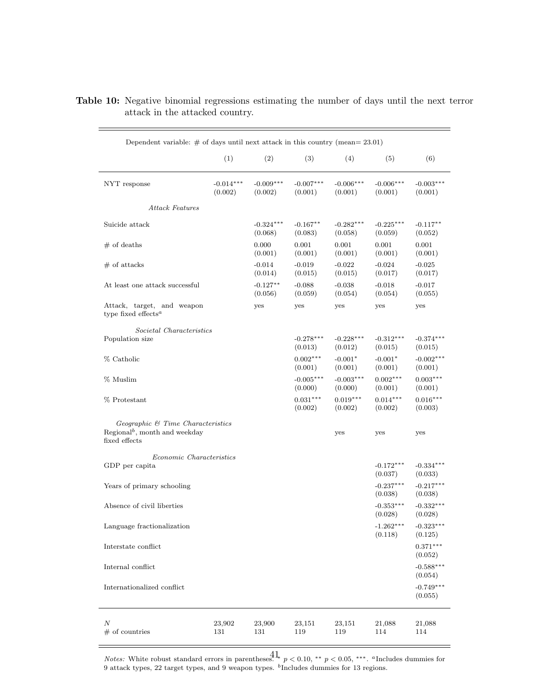| Dependent variable: $\#$ of days until next attack in this country (mean= 23.01)                     |                        |                        |                        |                        |                        |                        |
|------------------------------------------------------------------------------------------------------|------------------------|------------------------|------------------------|------------------------|------------------------|------------------------|
|                                                                                                      | (1)                    | (2)                    | (3)                    | (4)                    | (5)                    | (6)                    |
| NYT response                                                                                         | $-0.014***$<br>(0.002) | $-0.009***$<br>(0.002) | $-0.007***$<br>(0.001) | $-0.006***$<br>(0.001) | $-0.006***$<br>(0.001) | $-0.003***$<br>(0.001) |
| Attack Features                                                                                      |                        |                        |                        |                        |                        |                        |
| Suicide attack                                                                                       |                        | $-0.324***$<br>(0.068) | $-0.167**$<br>(0.083)  | $-0.282***$<br>(0.058) | $-0.225***$<br>(0.059) | $-0.117**$<br>(0.052)  |
| $#$ of deaths                                                                                        |                        | 0.000<br>(0.001)       | 0.001<br>(0.001)       | 0.001<br>(0.001)       | 0.001<br>(0.001)       | 0.001<br>(0.001)       |
| $#$ of attacks                                                                                       |                        | $-0.014$<br>(0.014)    | $-0.019$<br>(0.015)    | $-0.022$<br>(0.015)    | $-0.024$<br>(0.017)    | $-0.025$<br>(0.017)    |
| At least one attack successful                                                                       |                        | $-0.127**$<br>(0.056)  | $-0.088$<br>(0.059)    | $-0.038$<br>(0.054)    | $-0.018$<br>(0.054)    | $-0.017$<br>(0.055)    |
| Attack, target, and weapon<br>type fixed effects <sup><math>a</math></sup>                           |                        | yes                    | yes                    | yes                    | yes                    | yes                    |
| Societal Characteristics<br>Population size                                                          |                        |                        | $-0.278***$<br>(0.013) | $-0.228***$<br>(0.012) | $-0.312***$<br>(0.015) | $-0.374***$<br>(0.015) |
| % Catholic                                                                                           |                        |                        | $0.002***$<br>(0.001)  | $-0.001*$<br>(0.001)   | $-0.001*$<br>(0.001)   | $-0.002***$<br>(0.001) |
| % Muslim                                                                                             |                        |                        | $-0.005***$<br>(0.000) | $-0.003***$<br>(0.000) | $0.002***$<br>(0.001)  | $0.003***$<br>(0.001)  |
| % Protestant                                                                                         |                        |                        | $0.031***$<br>(0.002)  | $0.019***$<br>(0.002)  | $0.014***$<br>(0.002)  | $0.016***$<br>(0.003)  |
| $Geographic \& Time \ Characteristics$<br>Regional <sup>b</sup> , month and weekday<br>fixed effects |                        |                        |                        | yes                    | yes                    | yes                    |
| Economic Characteristics<br>GDP per capita                                                           |                        |                        |                        |                        | $-0.172***$<br>(0.037) | $-0.334***$<br>(0.033) |
| Years of primary schooling                                                                           |                        |                        |                        |                        | $-0.237***$<br>(0.038) | $-0.217***$<br>(0.038) |
| Absence of civil liberties                                                                           |                        |                        |                        |                        | $-0.353***$<br>(0.028) | $-0.332***$<br>(0.028) |
| Language fractionalization                                                                           |                        |                        |                        |                        | $-1.262***$<br>(0.118) | $-0.323***$<br>(0.125) |
| Interstate conflict                                                                                  |                        |                        |                        |                        |                        | $0.371***$<br>(0.052)  |
| Internal conflict                                                                                    |                        |                        |                        |                        |                        | $-0.588***$<br>(0.054) |
| Internationalized conflict                                                                           |                        |                        |                        |                        |                        | $-0.749***$<br>(0.055) |
| Ν<br>$#$ of countries                                                                                | 23,902<br>131          | 23,900<br>131          | 23,151<br>119          | 23,151<br>119          | 21,088<br>114          | 21,088<br>114          |

<span id="page-43-0"></span>Table 10: Negative binomial regressions estimating the number of days until the next terror attack in the attacked country.

*Notes:* White robust standard errors in parentheses.  $\mathbf{a}^{\mathbf{t}}$   $p < 0.10$ , \*\* p < 0.05, \*\*\*. <sup>a</sup>Includes dummies for 9 attack types,  $22$  target types, and 9 weapon types.  $<sup>b</sup>$  Includes dummies for 13 regions.</sup> 41

 $\equiv$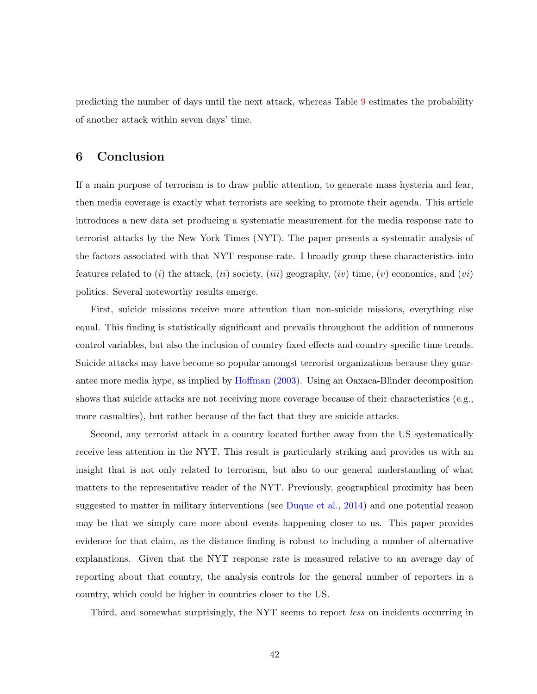predicting the number of days until the next attack, whereas Table [9](#page-41-0) estimates the probability of another attack within seven days' time.

### <span id="page-44-0"></span>6 Conclusion

If a main purpose of terrorism is to draw public attention, to generate mass hysteria and fear, then media coverage is exactly what terrorists are seeking to promote their agenda. This article introduces a new data set producing a systematic measurement for the media response rate to terrorist attacks by the New York Times (NYT). The paper presents a systematic analysis of the factors associated with that NYT response rate. I broadly group these characteristics into features related to (i) the attack, (ii) society, (iii) geography, (iv) time, (v) economics, and (vi) politics. Several noteworthy results emerge.

First, suicide missions receive more attention than non-suicide missions, everything else equal. This finding is statistically significant and prevails throughout the addition of numerous control variables, but also the inclusion of country fixed effects and country specific time trends. Suicide attacks may have become so popular amongst terrorist organizations because they guarantee more media hype, as implied by [Hoffman](#page-48-3) [\(2003\)](#page-48-3). Using an Oaxaca-Blinder decomposition shows that suicide attacks are not receiving more coverage because of their characteristics (e.g., more casualties), but rather because of the fact that they are suicide attacks.

Second, any terrorist attack in a country located further away from the US systematically receive less attention in the NYT. This result is particularly striking and provides us with an insight that is not only related to terrorism, but also to our general understanding of what matters to the representative reader of the NYT. Previously, geographical proximity has been suggested to matter in military interventions (see [Duque et al.,](#page-47-9) [2014\)](#page-47-9) and one potential reason may be that we simply care more about events happening closer to us. This paper provides evidence for that claim, as the distance finding is robust to including a number of alternative explanations. Given that the NYT response rate is measured relative to an average day of reporting about that country, the analysis controls for the general number of reporters in a country, which could be higher in countries closer to the US.

Third, and somewhat surprisingly, the NYT seems to report less on incidents occurring in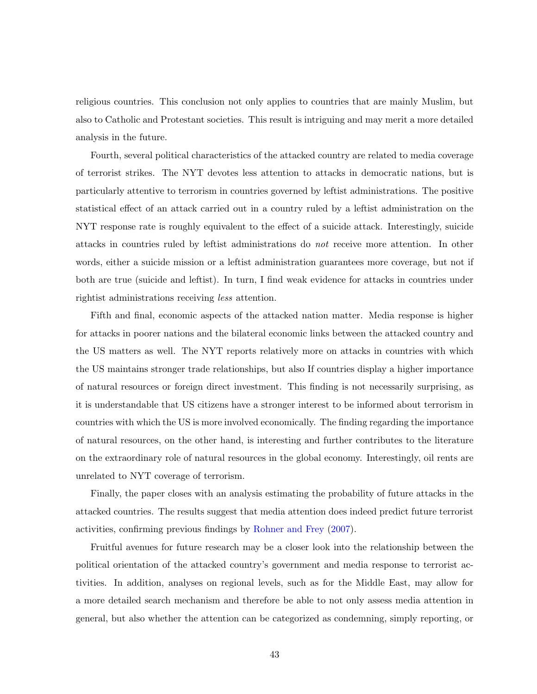religious countries. This conclusion not only applies to countries that are mainly Muslim, but also to Catholic and Protestant societies. This result is intriguing and may merit a more detailed analysis in the future.

Fourth, several political characteristics of the attacked country are related to media coverage of terrorist strikes. The NYT devotes less attention to attacks in democratic nations, but is particularly attentive to terrorism in countries governed by leftist administrations. The positive statistical effect of an attack carried out in a country ruled by a leftist administration on the NYT response rate is roughly equivalent to the effect of a suicide attack. Interestingly, suicide attacks in countries ruled by leftist administrations do not receive more attention. In other words, either a suicide mission or a leftist administration guarantees more coverage, but not if both are true (suicide and leftist). In turn, I find weak evidence for attacks in countries under rightist administrations receiving less attention.

Fifth and final, economic aspects of the attacked nation matter. Media response is higher for attacks in poorer nations and the bilateral economic links between the attacked country and the US matters as well. The NYT reports relatively more on attacks in countries with which the US maintains stronger trade relationships, but also If countries display a higher importance of natural resources or foreign direct investment. This finding is not necessarily surprising, as it is understandable that US citizens have a stronger interest to be informed about terrorism in countries with which the US is more involved economically. The finding regarding the importance of natural resources, on the other hand, is interesting and further contributes to the literature on the extraordinary role of natural resources in the global economy. Interestingly, oil rents are unrelated to NYT coverage of terrorism.

Finally, the paper closes with an analysis estimating the probability of future attacks in the attacked countries. The results suggest that media attention does indeed predict future terrorist activities, confirming previous findings by [Rohner and Frey](#page-50-3) [\(2007\)](#page-50-3).

Fruitful avenues for future research may be a closer look into the relationship between the political orientation of the attacked country's government and media response to terrorist activities. In addition, analyses on regional levels, such as for the Middle East, may allow for a more detailed search mechanism and therefore be able to not only assess media attention in general, but also whether the attention can be categorized as condemning, simply reporting, or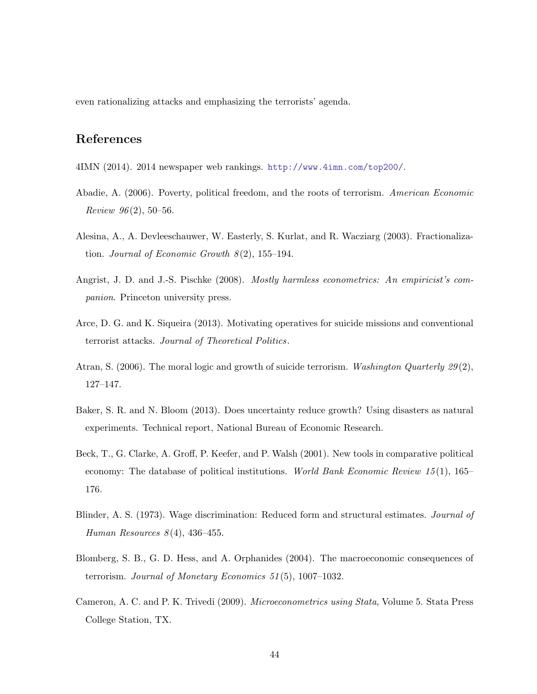even rationalizing attacks and emphasizing the terrorists' agenda.

# References

- <span id="page-46-4"></span>4IMN (2014). 2014 newspaper web rankings. <http://www.4imn.com/top200/>.
- <span id="page-46-3"></span>Abadie, A. (2006). Poverty, political freedom, and the roots of terrorism. American Economic *Review 96* $(2)$ , 50–56.
- <span id="page-46-7"></span>Alesina, A., A. Devleeschauwer, W. Easterly, S. Kurlat, and R. Wacziarg (2003). Fractionalization. Journal of Economic Growth  $8(2)$ , 155–194.
- <span id="page-46-9"></span>Angrist, J. D. and J.-S. Pischke (2008). *Mostly harmless econometrics: An empiricist's com*panion. Princeton university press.
- <span id="page-46-8"></span>Arce, D. G. and K. Siqueira (2013). Motivating operatives for suicide missions and conventional terrorist attacks. Journal of Theoretical Politics.
- <span id="page-46-1"></span>Atran, S. (2006). The moral logic and growth of suicide terrorism. Washington Quarterly 29(2), 127–147.
- <span id="page-46-2"></span>Baker, S. R. and N. Bloom (2013). Does uncertainty reduce growth? Using disasters as natural experiments. Technical report, National Bureau of Economic Research.
- <span id="page-46-10"></span>Beck, T., G. Clarke, A. Groff, P. Keefer, and P. Walsh (2001). New tools in comparative political economy: The database of political institutions. World Bank Economic Review 15(1), 165– 176.
- <span id="page-46-5"></span>Blinder, A. S. (1973). Wage discrimination: Reduced form and structural estimates. Journal of Human Resources  $8(4)$ , 436-455.
- <span id="page-46-0"></span>Blomberg, S. B., G. D. Hess, and A. Orphanides (2004). The macroeconomic consequences of terrorism. Journal of Monetary Economics 51 (5), 1007–1032.
- <span id="page-46-6"></span>Cameron, A. C. and P. K. Trivedi (2009). Microeconometrics using Stata, Volume 5. Stata Press College Station, TX.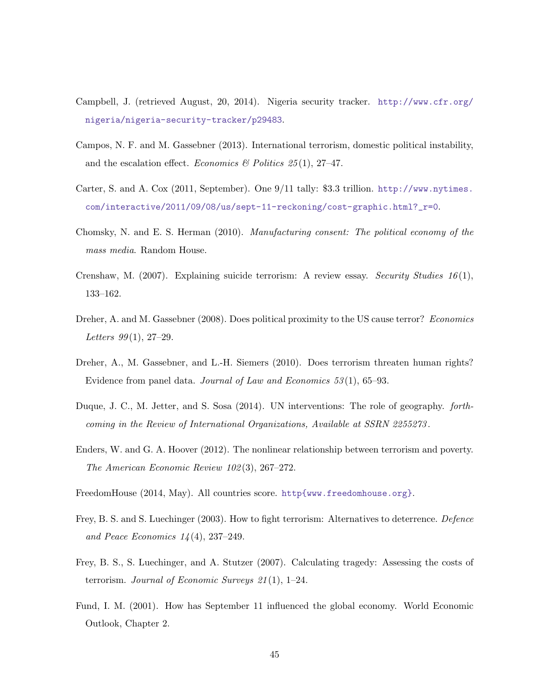- <span id="page-47-1"></span>Campbell, J. (retrieved August, 20, 2014). Nigeria security tracker. [http://www.cfr.org/](http://www.cfr.org/nigeria/nigeria-security-tracker/p29483) [nigeria/nigeria-security-tracker/p29483](http://www.cfr.org/nigeria/nigeria-security-tracker/p29483).
- <span id="page-47-6"></span>Campos, N. F. and M. Gassebner (2013). International terrorism, domestic political instability, and the escalation effect. Economics & Politics  $25(1)$ , 27-47.
- <span id="page-47-0"></span>Carter, S. and A. Cox (2011, September). One 9/11 tally: \$3.3 trillion. [http://www.nytimes.](http://www.nytimes.com/interactive/2011/09/08/us/sept-11-reckoning/cost-graphic.html?_r=0) [com/interactive/2011/09/08/us/sept-11-reckoning/cost-graphic.html?\\_r=0](http://www.nytimes.com/interactive/2011/09/08/us/sept-11-reckoning/cost-graphic.html?_r=0).
- <span id="page-47-8"></span>Chomsky, N. and E. S. Herman (2010). Manufacturing consent: The political economy of the mass media. Random House.
- <span id="page-47-7"></span>Crenshaw, M. (2007). Explaining suicide terrorism: A review essay. Security Studies 16(1), 133–162.
- <span id="page-47-12"></span>Dreher, A. and M. Gassebner (2008). Does political proximity to the US cause terror? Economics Letters  $99(1)$ , 27-29.
- <span id="page-47-3"></span>Dreher, A., M. Gassebner, and L.-H. Siemers (2010). Does terrorism threaten human rights? Evidence from panel data. Journal of Law and Economics  $53(1)$ , 65–93.
- <span id="page-47-9"></span>Duque, J. C., M. Jetter, and S. Sosa (2014). UN interventions: The role of geography. forthcoming in the Review of International Organizations, Available at SSRN 2255273 .
- <span id="page-47-10"></span>Enders, W. and G. A. Hoover (2012). The nonlinear relationship between terrorism and poverty. The American Economic Review 102 (3), 267–272.
- <span id="page-47-11"></span>FreedomHouse (2014, May). All countries score. <http{www.freedomhouse.org}>.
- <span id="page-47-5"></span>Frey, B. S. and S. Luechinger (2003). How to fight terrorism: Alternatives to deterrence. Defence and Peace Economics  $14(4)$ , 237–249.
- <span id="page-47-2"></span>Frey, B. S., S. Luechinger, and A. Stutzer (2007). Calculating tragedy: Assessing the costs of terrorism. Journal of Economic Surveys  $21(1)$ , 1–24.
- <span id="page-47-4"></span>Fund, I. M. (2001). How has September 11 influenced the global economy. World Economic Outlook, Chapter 2.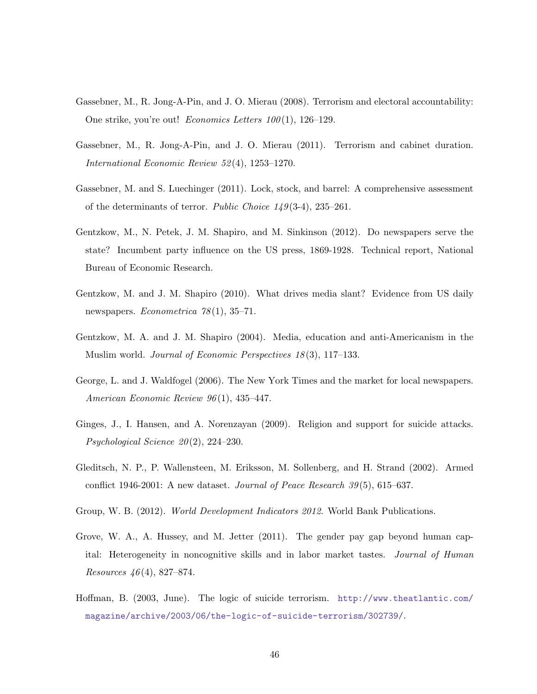- <span id="page-48-0"></span>Gassebner, M., R. Jong-A-Pin, and J. O. Mierau (2008). Terrorism and electoral accountability: One strike, you're out! *Economics Letters*  $100(1)$ , 126–129.
- <span id="page-48-1"></span>Gassebner, M., R. Jong-A-Pin, and J. O. Mierau (2011). Terrorism and cabinet duration. International Economic Review 52 (4), 1253–1270.
- <span id="page-48-4"></span>Gassebner, M. and S. Luechinger (2011). Lock, stock, and barrel: A comprehensive assessment of the determinants of terror. Public Choice  $1/9(3-4)$ , 235–261.
- <span id="page-48-6"></span>Gentzkow, M., N. Petek, J. M. Shapiro, and M. Sinkinson (2012). Do newspapers serve the state? Incumbent party influence on the US press, 1869-1928. Technical report, National Bureau of Economic Research.
- <span id="page-48-5"></span>Gentzkow, M. and J. M. Shapiro (2010). What drives media slant? Evidence from US daily newspapers. *Econometrica*  $78(1)$ , 35–71.
- <span id="page-48-2"></span>Gentzkow, M. A. and J. M. Shapiro (2004). Media, education and anti-Americanism in the Muslim world. Journal of Economic Perspectives 18 (3), 117–133.
- <span id="page-48-7"></span>George, L. and J. Waldfogel (2006). The New York Times and the market for local newspapers. American Economic Review 96 (1), 435–447.
- <span id="page-48-11"></span>Ginges, J., I. Hansen, and A. Norenzayan (2009). Religion and support for suicide attacks. Psychological Science  $20(2)$ , 224–230.
- <span id="page-48-10"></span>Gleditsch, N. P., P. Wallensteen, M. Eriksson, M. Sollenberg, and H. Strand (2002). Armed conflict 1946-2001: A new dataset. Journal of Peace Research  $39(5)$ , 615–637.
- <span id="page-48-9"></span>Group, W. B. (2012). World Development Indicators 2012. World Bank Publications.
- <span id="page-48-8"></span>Grove, W. A., A. Hussey, and M. Jetter (2011). The gender pay gap beyond human capital: Heterogeneity in noncognitive skills and in labor market tastes. Journal of Human Resources  $46(4)$ , 827–874.
- <span id="page-48-3"></span>Hoffman, B. (2003, June). The logic of suicide terrorism. [http://www.theatlantic.com/](http://www.theatlantic.com/magazine/archive/2003/06/the-logic-of-suicide-terrorism/302739/) [magazine/archive/2003/06/the-logic-of-suicide-terrorism/302739/](http://www.theatlantic.com/magazine/archive/2003/06/the-logic-of-suicide-terrorism/302739/).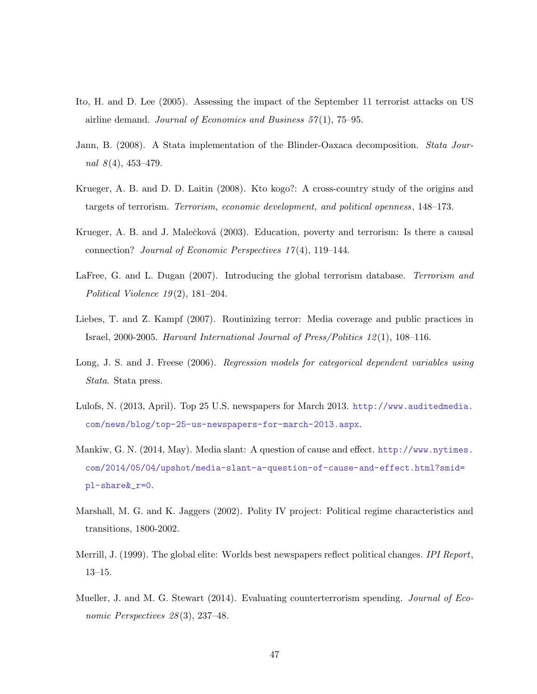- <span id="page-49-2"></span>Ito, H. and D. Lee (2005). Assessing the impact of the September 11 terrorist attacks on US airline demand. Journal of Economics and Business  $57(1)$ ,  $75-95$ .
- <span id="page-49-9"></span>Jann, B. (2008). A Stata implementation of the Blinder-Oaxaca decomposition. Stata Journal  $8(4)$ , 453-479.
- <span id="page-49-5"></span>Krueger, A. B. and D. D. Laitin (2008). Kto kogo?: A cross-country study of the origins and targets of terrorism. Terrorism, economic development, and political openness, 148–173.
- <span id="page-49-3"></span>Krueger, A. B. and J. Malečková (2003). Education, poverty and terrorism: Is there a causal connection? Journal of Economic Perspectives 17 (4), 119–144.
- <span id="page-49-0"></span>LaFree, G. and L. Dugan (2007). Introducing the global terrorism database. Terrorism and Political Violence  $19(2)$ , 181-204.
- <span id="page-49-4"></span>Liebes, T. and Z. Kampf (2007). Routinizing terror: Media coverage and public practices in Israel, 2000-2005. Harvard International Journal of Press/Politics 12 (1), 108–116.
- <span id="page-49-10"></span>Long, J. S. and J. Freese (2006). Regression models for categorical dependent variables using Stata. Stata press.
- <span id="page-49-7"></span>Lulofs, N. (2013, April). Top 25 U.S. newspapers for March 2013. [http://www.auditedmedia.](http://www.auditedmedia.com/news/blog/top-25-us-newspapers-for-march-2013.aspx) [com/news/blog/top-25-us-newspapers-for-march-2013.aspx](http://www.auditedmedia.com/news/blog/top-25-us-newspapers-for-march-2013.aspx).
- <span id="page-49-6"></span>Mankiw, G. N. (2014, May). Media slant: A question of cause and effect. [http://www.nytimes.](http://www.nytimes.com/2014/05/04/upshot/media-slant-a-question-of-cause-and-effect.html?smid=pl-share&_r=0) [com/2014/05/04/upshot/media-slant-a-question-of-cause-and-effect.html?smid=](http://www.nytimes.com/2014/05/04/upshot/media-slant-a-question-of-cause-and-effect.html?smid=pl-share&_r=0) [pl-share&\\_r=0](http://www.nytimes.com/2014/05/04/upshot/media-slant-a-question-of-cause-and-effect.html?smid=pl-share&_r=0).
- <span id="page-49-11"></span>Marshall, M. G. and K. Jaggers (2002). Polity IV project: Political regime characteristics and transitions, 1800-2002.
- <span id="page-49-8"></span>Merrill, J. (1999). The global elite: Worlds best newspapers reflect political changes. IPI Report, 13–15.
- <span id="page-49-1"></span>Mueller, J. and M. G. Stewart (2014). Evaluating counterterrorism spending. Journal of Economic Perspectives  $28(3)$ , 237-48.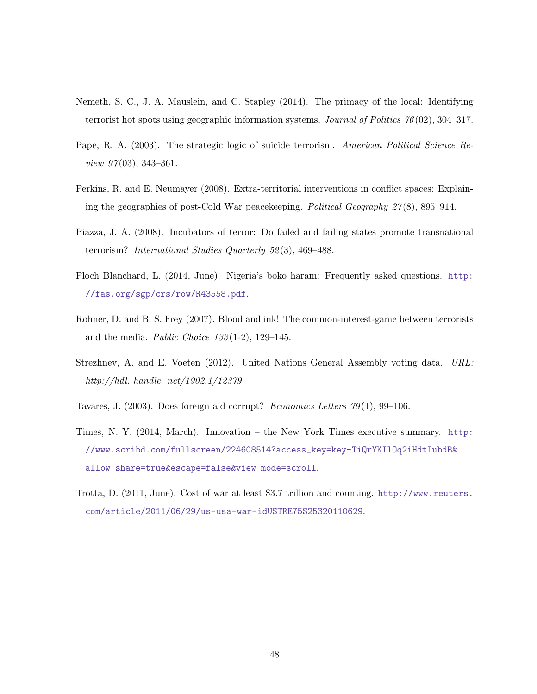- <span id="page-50-5"></span>Nemeth, S. C., J. A. Mauslein, and C. Stapley (2014). The primacy of the local: Identifying terrorist hot spots using geographic information systems. Journal of Politics  $76(02)$ , 304–317.
- <span id="page-50-2"></span>Pape, R. A. (2003). The strategic logic of suicide terrorism. American Political Science Review  $97(03)$ , 343-361.
- <span id="page-50-8"></span>Perkins, R. and E. Neumayer (2008). Extra-territorial interventions in conflict spaces: Explaining the geographies of post-Cold War peacekeeping. Political Geography 27 (8), 895–914.
- <span id="page-50-4"></span>Piazza, J. A. (2008). Incubators of terror: Do failed and failing states promote transnational terrorism? International Studies Quarterly 52 (3), 469–488.
- <span id="page-50-1"></span>Ploch Blanchard, L. (2014, June). Nigeria's boko haram: Frequently asked questions. [http:](http://fas.org/sgp/crs/row/R43558.pdf) [//fas.org/sgp/crs/row/R43558.pdf](http://fas.org/sgp/crs/row/R43558.pdf).
- <span id="page-50-3"></span>Rohner, D. and B. S. Frey (2007). Blood and ink! The common-interest-game between terrorists and the media. Public Choice  $133(1-2)$ , 129-145.
- <span id="page-50-9"></span>Strezhnev, A. and E. Voeten (2012). United Nations General Assembly voting data. URL: http://hdl. handle. net/1902.1/12379 .
- <span id="page-50-7"></span>Tavares, J. (2003). Does foreign aid corrupt? *Economics Letters*  $79(1)$ , 99–106.
- <span id="page-50-6"></span>Times, N. Y. (2014, March). Innovation – the New York Times executive summary. [http:](http://www.scribd.com/fullscreen/224608514?access_key=key-TiQrYKIlOq2iHdtIubdB&allow_share=true&escape=false&view_mode=scroll) [//www.scribd.com/fullscreen/224608514?access\\_key=key-TiQrYKIlOq2iHdtIubdB&](http://www.scribd.com/fullscreen/224608514?access_key=key-TiQrYKIlOq2iHdtIubdB&allow_share=true&escape=false&view_mode=scroll) [allow\\_share=true&escape=false&view\\_mode=scroll](http://www.scribd.com/fullscreen/224608514?access_key=key-TiQrYKIlOq2iHdtIubdB&allow_share=true&escape=false&view_mode=scroll).
- <span id="page-50-0"></span>Trotta, D. (2011, June). Cost of war at least \$3.7 trillion and counting. [http://www.reuters.](http://www.reuters.com/article/2011/06/29/us-usa-war-idUSTRE75S25320110629) [com/article/2011/06/29/us-usa-war-idUSTRE75S25320110629](http://www.reuters.com/article/2011/06/29/us-usa-war-idUSTRE75S25320110629).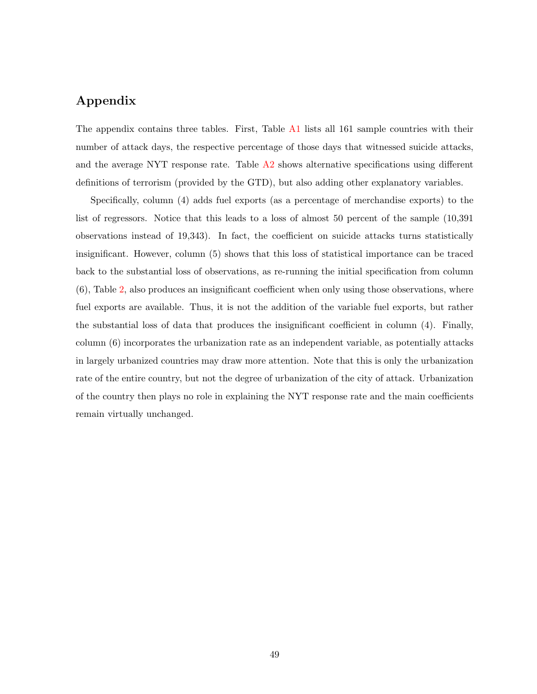# Appendix

The appendix contains three tables. First, Table [A1](#page-52-0) lists all 161 sample countries with their number of attack days, the respective percentage of those days that witnessed suicide attacks, and the average NYT response rate. Table [A2](#page-54-0) shows alternative specifications using different definitions of terrorism (provided by the GTD), but also adding other explanatory variables.

Specifically, column (4) adds fuel exports (as a percentage of merchandise exports) to the list of regressors. Notice that this leads to a loss of almost 50 percent of the sample (10,391 observations instead of 19,343). In fact, the coefficient on suicide attacks turns statistically insignificant. However, column (5) shows that this loss of statistical importance can be traced back to the substantial loss of observations, as re-running the initial specification from column (6), Table [2,](#page-23-0) also produces an insignificant coefficient when only using those observations, where fuel exports are available. Thus, it is not the addition of the variable fuel exports, but rather the substantial loss of data that produces the insignificant coefficient in column (4). Finally, column (6) incorporates the urbanization rate as an independent variable, as potentially attacks in largely urbanized countries may draw more attention. Note that this is only the urbanization rate of the entire country, but not the degree of urbanization of the city of attack. Urbanization of the country then plays no role in explaining the NYT response rate and the main coefficients remain virtually unchanged.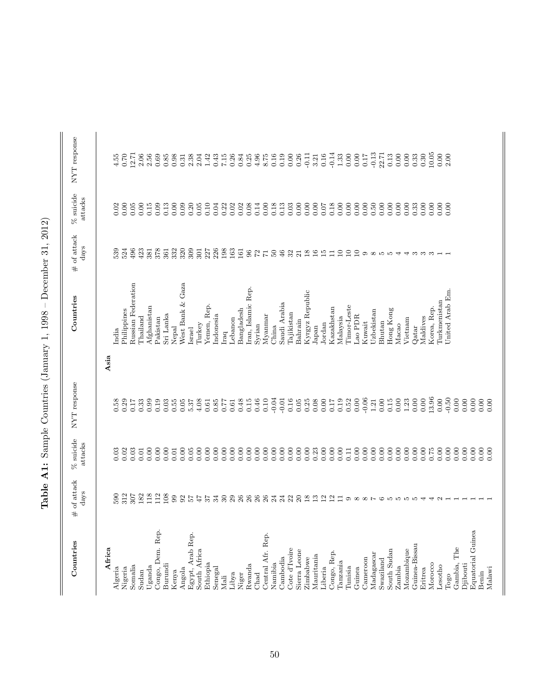| <br> <br>$\overline{\phantom{a}}$                              |
|----------------------------------------------------------------|
| $\frac{1}{2}$<br>I<br>ł                                        |
| ׇ֒<br>ſ                                                        |
| I                                                              |
| ֕<br>۱                                                         |
| ׇ֚֘֡<br>֖֖֖֖֖֖֧֖ׅ֖֧֖֧ׅ֖ׅ֖֧֚֚֚֚֚֚֚֚֚֚֚֚֚֚֚֚֚֚֚֚֚֚֚֚֚֚֬֝֝֝֝<br>I |
| $\frac{2}{1}$<br>i<br>l                                        |
| l<br>l<br>i<br>l                                               |
| $\frac{1}{1}$<br>l                                             |
| ׇ֘֝֕֡                                                          |

<span id="page-52-0"></span>

| Countries         | of attack<br>days<br># | $%$ suicide<br>attacks | NYT response |           | Countries          | of attack<br>days<br>$\#$                         | % suicide<br>attacks  | $\ensuremath{\mathsf{NYT}}$ response |
|-------------------|------------------------|------------------------|--------------|-----------|--------------------|---------------------------------------------------|-----------------------|--------------------------------------|
| Africa            |                        |                        |              | Asia      |                    |                                                   |                       |                                      |
| Algeria           | 590                    | 0.03                   | 0.58         | India     |                    | 539                                               | 0.02                  | 4.55                                 |
| Nigeria           | 312                    | 0.02                   | 0.29         |           | Philippines        | 524                                               | $_{\rm 0.00}^{\rm 2}$ | 0.70                                 |
| Somalia           | 307                    | 0.03                   | 0.17         |           | Russian Federation | 496                                               | 0.05                  | 12.71                                |
| Sudan             | 182                    | 0.01                   | 0.33         | Thailand  |                    | 423                                               | 0.00                  | 2.06                                 |
| Uganda            | 118                    | 0.00                   | 0.99         |           | Afghanistan        | 381                                               | 0.15                  | 2.56                                 |
| Congo, Dem. Rep.  | 112                    | 0.00                   | 0.19         | Pakistan  |                    | 378                                               | 0.09                  | 0.69                                 |
| Burundi           | 108                    | 0.00                   | 0.03         | Sri Lanka |                    | 361                                               | 0.13                  | $0.85\,$                             |
| Kenya             | 99                     | 0.01                   | 0.55         | Nepal     |                    | 332                                               | 0.00                  | 0.98                                 |
| Angola            | 92                     | 0.00                   | 0.05         |           | West Bank & Gaza   | 320                                               | 0.09                  | 0.31                                 |
| Egypt, Arab Rep.  | $\frac{1}{2}$          | 0.05                   | 5.37         | Israel    |                    | 309                                               | 0.20                  | $2.38$<br>$2.04$                     |
| South Africa      | $47\,$                 | 0.00                   | 4.08         | Turkey    |                    | 301                                               | 0.05                  |                                      |
| Ethiopia          | 57                     | 0.00                   | 0.61         |           | Yemen, Rep.        | 227                                               | 0.10                  | 1.42                                 |
| Senegal           | 34                     | 0.00                   | 0.85         | Indonesia |                    | 226                                               | 0.04                  | 0.43                                 |
| Mali              | $30\,$                 | 0.00                   | 777          | Iraq      |                    | 198                                               | 0.22                  | 7.15                                 |
| Libya             | 29                     | 0.00                   | 0.61         | Lebanon   |                    | 163                                               | 0.02                  | 0.26                                 |
| Niger             | $26\,$                 | 0.00                   | 0.48         |           | Bangladesh         | 161                                               | 0.02                  | 0.84                                 |
| Rwanda            | $\frac{8}{26}$         | 0.00                   | 0.15         |           | Iran, Islamic Rep. | $\frac{6}{2}$                                     | 0.08                  | 0.25                                 |
| Chad              |                        | 0.00                   | $0.46\,$     | Syrian    |                    |                                                   | 0.14                  | 4.96                                 |
| Central Afr. Rep. | 26                     | 0.00                   | 0.10         | Myannar   |                    | $\overline{\Gamma}$                               | 0.00                  | 8.75                                 |
| Namibia           | $\mathbb{Z}^4$         | 0.00                   | $-0.04$      | China     |                    | $\rm ^{50}$                                       | 0.18                  | 0.16                                 |
| Cambodia          | $^{24}$                | 0.00                   | $-0.01$      |           | Saudi Arabia       | 46                                                | 0.13                  | 0.19                                 |
| Cote d'Ivoire     | 22                     | 0.00                   | 0.16         |           | <b>Cajikistan</b>  | $\frac{2}{21}$                                    | 0.03                  | $0.00$                               |
| Sierra Leone      | $20\,$                 | 0.00                   | 0.05         | Bahrain   |                    |                                                   | 0.00                  | 0.26                                 |
| Zimbabwe          | $\overline{18}$        | 0.00                   | 0.25         |           | Kyrgyz Republic    | $\overline{18}$                                   | 0.00                  | $-0.11$                              |
| Mauritania        | $\frac{3}{12}$         | 0.23                   | 0.08         | Japan     |                    | $\frac{6}{1}$                                     | 0.00                  | 3.21                                 |
| Liberia           |                        | 0.00                   | 0.00         | Jordan    |                    | $\overline{15}$                                   | 0.07                  | 0.16                                 |
| Congo, Rep        | $\mathbf{r}$           | 0.00                   | 0.17         |           | Kazakhstan         | $\Xi$                                             | 0.18                  | $-0.14$                              |
| Tanzania          | $\Xi$                  | 0.00                   | 0.19         | Malaysia  |                    | $\overline{10}$                                   | 0.00                  | $1.33\,$                             |
| Tunisia           |                        | 0.11                   | 0.52         |           | Timor-Leste        | $\Box$                                            | 0.00                  | $0.00$                               |
| Guinea            |                        | 0.00                   | $0.00$       | Lao PDR   |                    | $\overline{10}$                                   | 0.00                  | $0.00\,$                             |
| Cameroon          |                        | 0.00                   | $-0.06$      | Kuwait    |                    | $\omega$ $\omega$ $\omega$ $\omega$ $\rightarrow$ | 0.00                  | 0.17                                 |
| Madagascar        |                        | 0.00                   | $1.21\,$     |           | Uzbekistan         |                                                   | 0.50                  | $-0.13$                              |
| Swaziland         |                        | 0.00                   | 0.00         | Bhutan    |                    |                                                   | 0.00                  | 22.71                                |
| South Sudan       |                        | 0.00                   | 0.15         |           | Hong Kong          |                                                   | 0.00                  | 0.13                                 |
| Zambia            |                        | 0.00                   | 0.00         | Масао     |                    |                                                   | 0.00                  | $0.00$                               |
| Mozambique        |                        | 0.00                   | 1.23         | Vietnam   |                    | $\overline{\phantom{a}}$                          | 0.00                  | $0.00\,$                             |
| Guinea-Bissau     |                        | 0.00                   | $0.00$       | Qatar     |                    | S                                                 | 0.33                  | 0.33                                 |
| Eritrea           |                        | 0.00                   | 0.00         | Maldives  |                    | က က                                               | 0.00                  | 0.30                                 |
| Morocco           | $40 -$                 | 0.75                   | 13.96        |           | Korea, Rep.        |                                                   | 0.00                  | 10.05                                |
| Lesotho           |                        | 0.00                   | 0.00         |           | Turkmenistan       |                                                   | 0.00                  | 0.00                                 |
| $_{\rm Togo}$     |                        | 0.00                   | $-0.50$      |           | United Arab Em.    |                                                   | 0.00                  | 2.00                                 |
| The<br>Gambia,    |                        | 0.00                   | 0.00         |           |                    |                                                   |                       |                                      |
| Djibouti          |                        | 0.00                   | 0.00         |           |                    |                                                   |                       |                                      |
| Equatorial Guinea |                        | 0.00                   | 0.00         |           |                    |                                                   |                       |                                      |
| Benin             |                        | 0.00                   | 0.00         |           |                    |                                                   |                       |                                      |
| Malawi            |                        | 0.00                   | 0.00         |           |                    |                                                   |                       |                                      |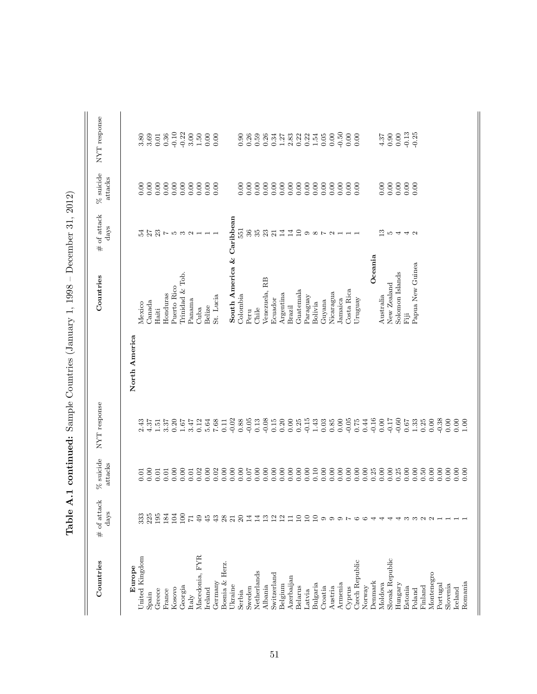| Countries       | # of attack<br>days     | $%$ suicide<br>attacks | NYT response                                |               | Countries                 | # of attack<br>$\rm days$                              | $%$ suicide<br>attacks | NYT response                                        |
|-----------------|-------------------------|------------------------|---------------------------------------------|---------------|---------------------------|--------------------------------------------------------|------------------------|-----------------------------------------------------|
| Europe          |                         |                        |                                             | North America |                           |                                                        |                        |                                                     |
| United Kingdom  | 333                     | 0.01                   | 2.43                                        |               | Mexico                    | 24                                                     | 0.00                   | 3.80                                                |
| Spain           | 225                     | 0.00                   | 4.37                                        |               | Canada                    | 27                                                     | 0.00                   | 3.69                                                |
| Greece          | 195                     | 0.01                   | 1.51                                        |               | Haiti                     |                                                        | 0.00                   | $0.01\,$                                            |
| France          | 184                     | 0.01                   | 3.37                                        |               | Honduras                  |                                                        | $0.00\,$               | 0.36                                                |
| Kosovo          | 104                     | 0.00                   | 0.20                                        |               | Puerto Rico               |                                                        | 0.00                   | $-0.10$                                             |
| Georgia         | 100                     | 0.00                   | 1.67                                        |               | Trinidad & Tob.           |                                                        | 0.00                   | $-0.22$                                             |
| Italy           | $\overline{7}$          | 0.01                   | 3.47                                        |               | Panama                    | $\mathfrak{A} \subset \mathfrak{D}$ and $\mathfrak{A}$ | 0.00                   | 3.00                                                |
| Macedonia, FYR  | 49                      | 0.02                   | 0.12                                        |               | Cuba                      |                                                        | 0.00                   | $1.50\,$                                            |
| Ireland         | 45                      | 0.00                   | 5.64                                        |               | Belize                    |                                                        | 0.00                   | $0.00\,$                                            |
| Germany         | 43                      | 0.02                   | 7.68                                        |               | St. Lucia                 |                                                        | 0.00                   | 0.00                                                |
| Bosnia & Herz.  | 28                      |                        | 0.11                                        |               |                           |                                                        |                        |                                                     |
| Ukraine         | $\overline{21}$         | 0.00                   | $-0.02$                                     |               | South America & Caribbean |                                                        |                        |                                                     |
| Serbia          | $\overline{c}$          | 0.00                   | $0.88\,$                                    |               | Colombia                  | 551                                                    | 0.00                   | 0.90                                                |
| Sweden          | $\overline{14}$         | 0.07                   | $-0.05$                                     |               | Peru                      | $36\,$                                                 | 0.00                   | 0.26                                                |
| Netherlands     | $\mathbb{1}^4$          | 0.00                   | 0.13                                        |               | Chile                     | 35                                                     | 0.00                   | 0.59                                                |
| Albania         | $\frac{3}{2}$           | 0.00                   | $-0.08$                                     |               | Venezuela, RB             | 23                                                     | 0.00                   | 0.26                                                |
| Switzerland     | $\mathbf{z}$            |                        | 0.15                                        |               | Ecuador                   | $\overline{21}$                                        | 0.00                   | 0.34                                                |
| Belgium         | $\frac{\Omega}{\Gamma}$ | 0.000000               | 0.20                                        |               | Argentina                 | $\overline{14}$                                        | 0.00                   | $1.27\,$                                            |
| Azerbaijan      | ⊟                       | 0.00                   | $0.00\,$                                    |               | Brazil                    | 14                                                     | 0.00                   | $2.83\,$                                            |
| Belarus         | $\Xi$                   | 0.00                   | 0.25                                        |               | Guatemala                 | 10                                                     | 0.00                   | $0.22$<br>$0.23$<br>$1.54$                          |
| Latvia          | $\Xi$                   | 0.00                   | $-0.15$                                     |               | Paraguay                  |                                                        | 0.00                   |                                                     |
| Bulgaria        | $\Xi$                   | 0.10                   | $1.43\,$                                    |               | Bolivia                   | $\sim$ $\infty$ c                                      | 0.00                   |                                                     |
| Croatia         | $\circ$                 | 0.00                   | 0.03                                        |               | Guyana                    |                                                        | 0.00                   | $0.05\,$                                            |
| Austria         | ග                       | 0.00                   | $\begin{array}{c} 0.85 \\ 0.00 \end{array}$ |               | Nicaragua                 | $\mathbf{c}$                                           | 0.00                   | 0.00                                                |
| Armenia         |                         |                        |                                             |               | Jamaica                   |                                                        | 0.00                   | $-0.50$                                             |
| Cyprus          |                         | 0.00                   | $-0.05$<br>0.75                             |               | Costa Rica                |                                                        | 0.00                   | $0.00$                                              |
| Czech Republic  |                         | 0.00                   |                                             |               | Uruguay                   |                                                        | 0.00                   | 0.00                                                |
| Norway          |                         | 0.00                   | 0.44                                        |               |                           |                                                        |                        |                                                     |
| Denmark         |                         | 0.25                   | $-0.16$                                     |               | Oceania                   |                                                        |                        |                                                     |
| Moldova         |                         | 0.00                   | 0.00                                        |               | Australia                 | $\frac{3}{2}$                                          | 0.00                   | $\begin{array}{c} 4.37 \\ 0.90 \\ 0.00 \end{array}$ |
| Slovak Republic |                         | 0.00                   | $-0.07$                                     |               | New Zealand               | LО                                                     | 0.00                   |                                                     |
| Hungary         |                         | 0.25                   |                                             |               | Solomon Islands           | 4                                                      | $0.00\,$               |                                                     |
| Estonia         | S                       | 0.00                   | 0.67                                        |               | ËË                        | 40                                                     | 0.00                   | $-0.13$<br>$-0.25$                                  |
| Poland          | $\infty$ $\infty$       | 0.00                   | $1.33\,$                                    |               | Papua New Guinea          |                                                        | 0.00                   |                                                     |
| Finland         |                         | 0.50                   | 0.25                                        |               |                           |                                                        |                        |                                                     |
| Montenegro      | $\sim$                  | 0.00                   | 0.00                                        |               |                           |                                                        |                        |                                                     |
| Portugal        |                         | 0.00                   | $-0.38$                                     |               |                           |                                                        |                        |                                                     |
| Slovenia        |                         | 0.00                   | 0.00                                        |               |                           |                                                        |                        |                                                     |
| Iceland         |                         | 0.00                   | 0.00                                        |               |                           |                                                        |                        |                                                     |
| Romania         |                         | 0.00                   | 1.00                                        |               |                           |                                                        |                        |                                                     |

Table A.1 continued: Sample Countries (January 1, 1998 – December 31, 2012) Table A.1 continued: Sample Countries (January 1, 1998 – December 31, 2012)